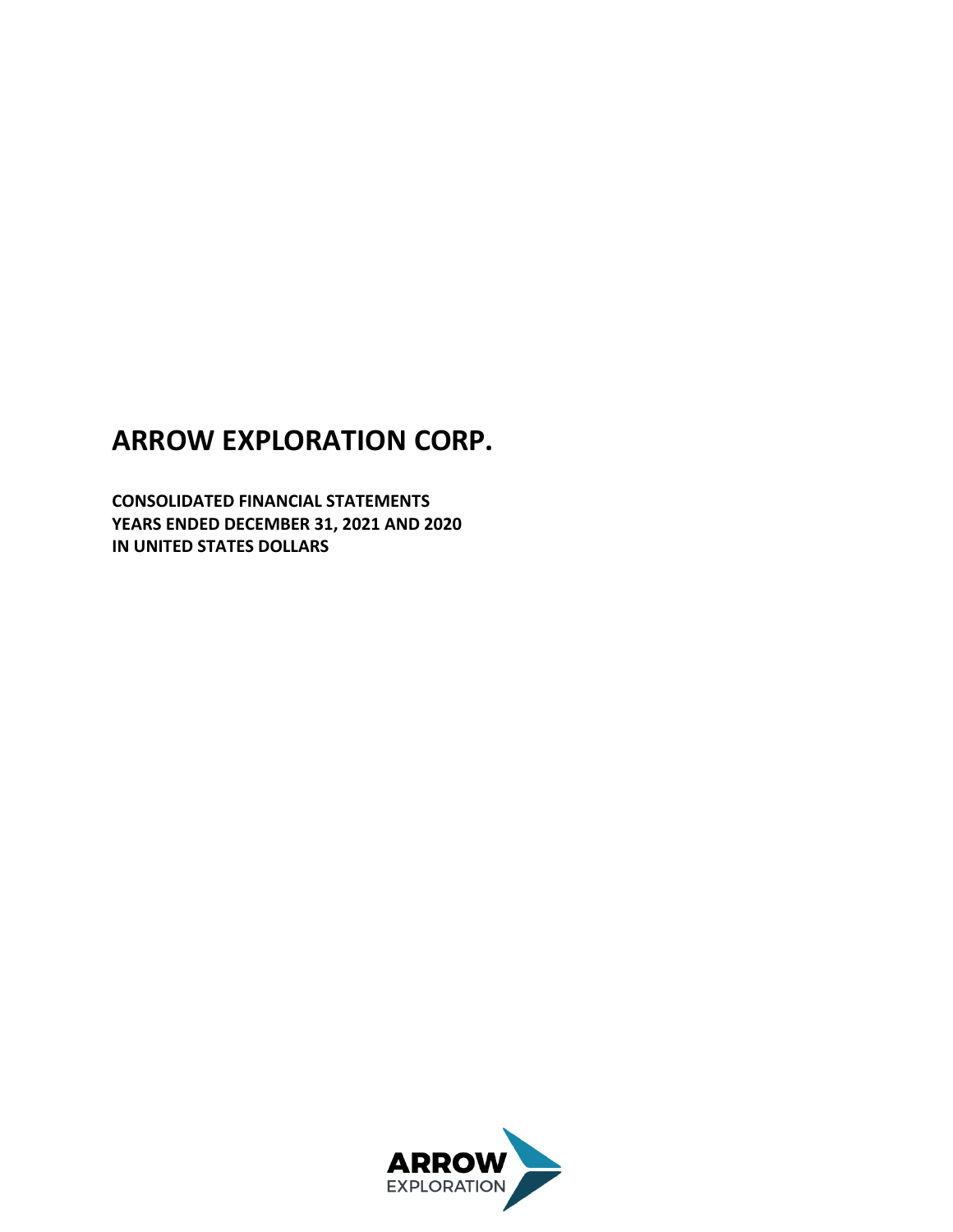## **ARROW EXPLORATION CORP.**

**CONSOLIDATED FINANCIAL STATEMENTS YEARS ENDED DECEMBER 31, 2021 AND 2020 IN UNITED STATES DOLLARS**

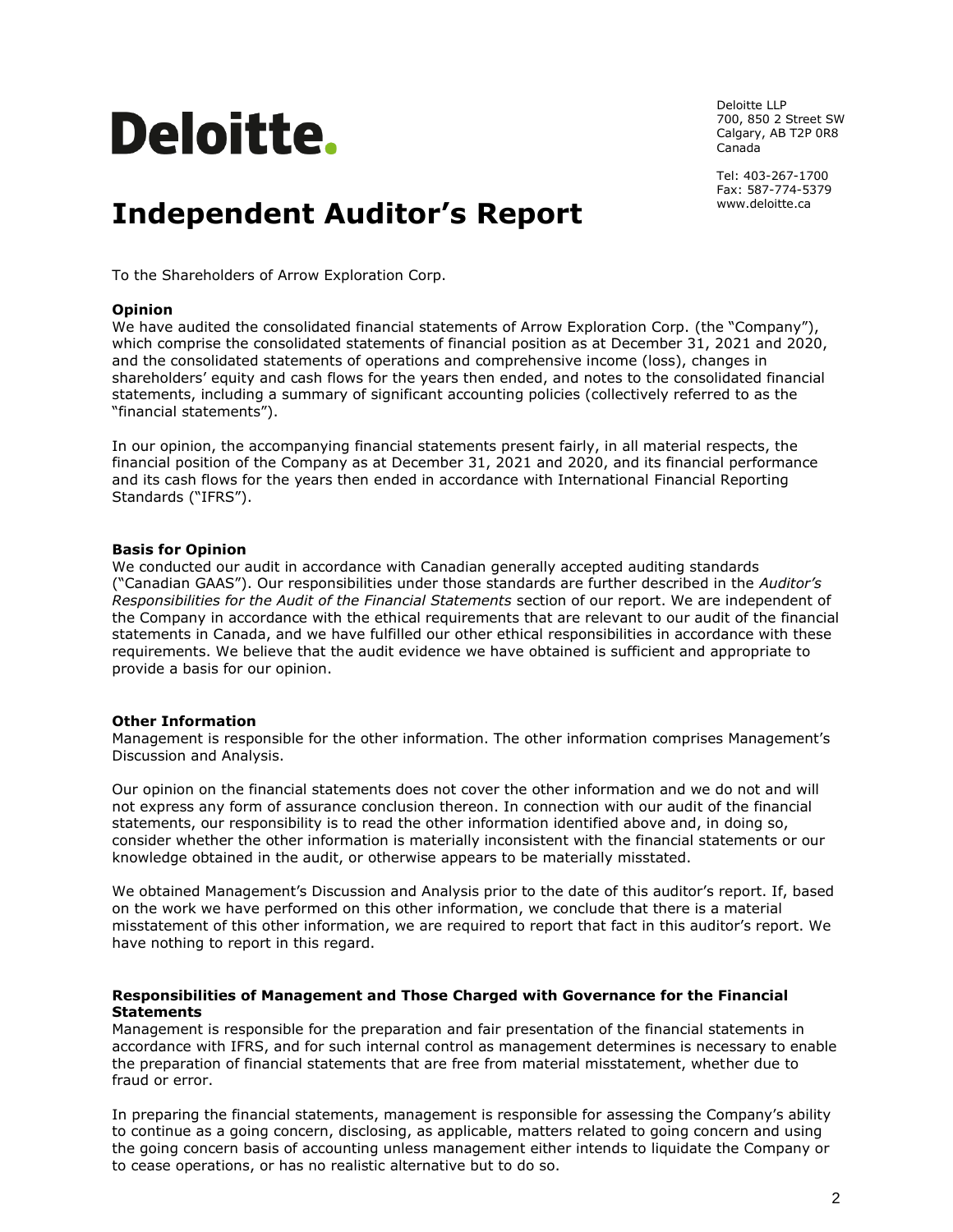# **Deloitte.**

Deloitte LLP 700, 850 2 Street SW Calgary, AB T2P 0R8 Canada

Tel: 403-267-1700 Fax: 587-774-5379

# **Independent Auditor's Report**

To the Shareholders of Arrow Exploration Corp.

### **Opinion**

We have audited the consolidated financial statements of Arrow Exploration Corp. (the "Company"), which comprise the consolidated statements of financial position as at December 31, 2021 and 2020, and the consolidated statements of operations and comprehensive income (loss), changes in shareholders' equity and cash flows for the years then ended, and notes to the consolidated financial statements, including a summary of significant accounting policies (collectively referred to as the "financial statements").

In our opinion, the accompanying financial statements present fairly, in all material respects, the financial position of the Company as at December 31, 2021 and 2020, and its financial performance and its cash flows for the years then ended in accordance with International Financial Reporting Standards ("IFRS").

### **Basis for Opinion**

We conducted our audit in accordance with Canadian generally accepted auditing standards ("Canadian GAAS"). Our responsibilities under those standards are further described in the *Auditor's Responsibilities for the Audit of the Financial Statements* section of our report. We are independent of the Company in accordance with the ethical requirements that are relevant to our audit of the financial statements in Canada, and we have fulfilled our other ethical responsibilities in accordance with these requirements. We believe that the audit evidence we have obtained is sufficient and appropriate to provide a basis for our opinion.

### **Other Information**

Management is responsible for the other information. The other information comprises Management's Discussion and Analysis.

Our opinion on the financial statements does not cover the other information and we do not and will not express any form of assurance conclusion thereon. In connection with our audit of the financial statements, our responsibility is to read the other information identified above and, in doing so, consider whether the other information is materially inconsistent with the financial statements or our knowledge obtained in the audit, or otherwise appears to be materially misstated.

We obtained Management's Discussion and Analysis prior to the date of this auditor's report. If, based on the work we have performed on this other information, we conclude that there is a material misstatement of this other information, we are required to report that fact in this auditor's report. We have nothing to report in this regard.

### **Responsibilities of Management and Those Charged with Governance for the Financial Statements**

Management is responsible for the preparation and fair presentation of the financial statements in accordance with IFRS, and for such internal control as management determines is necessary to enable the preparation of financial statements that are free from material misstatement, whether due to fraud or error.

In preparing the financial statements, management is responsible for assessing the Company's ability to continue as a going concern, disclosing, as applicable, matters related to going concern and using the going concern basis of accounting unless management either intends to liquidate the Company or to cease operations, or has no realistic alternative but to do so.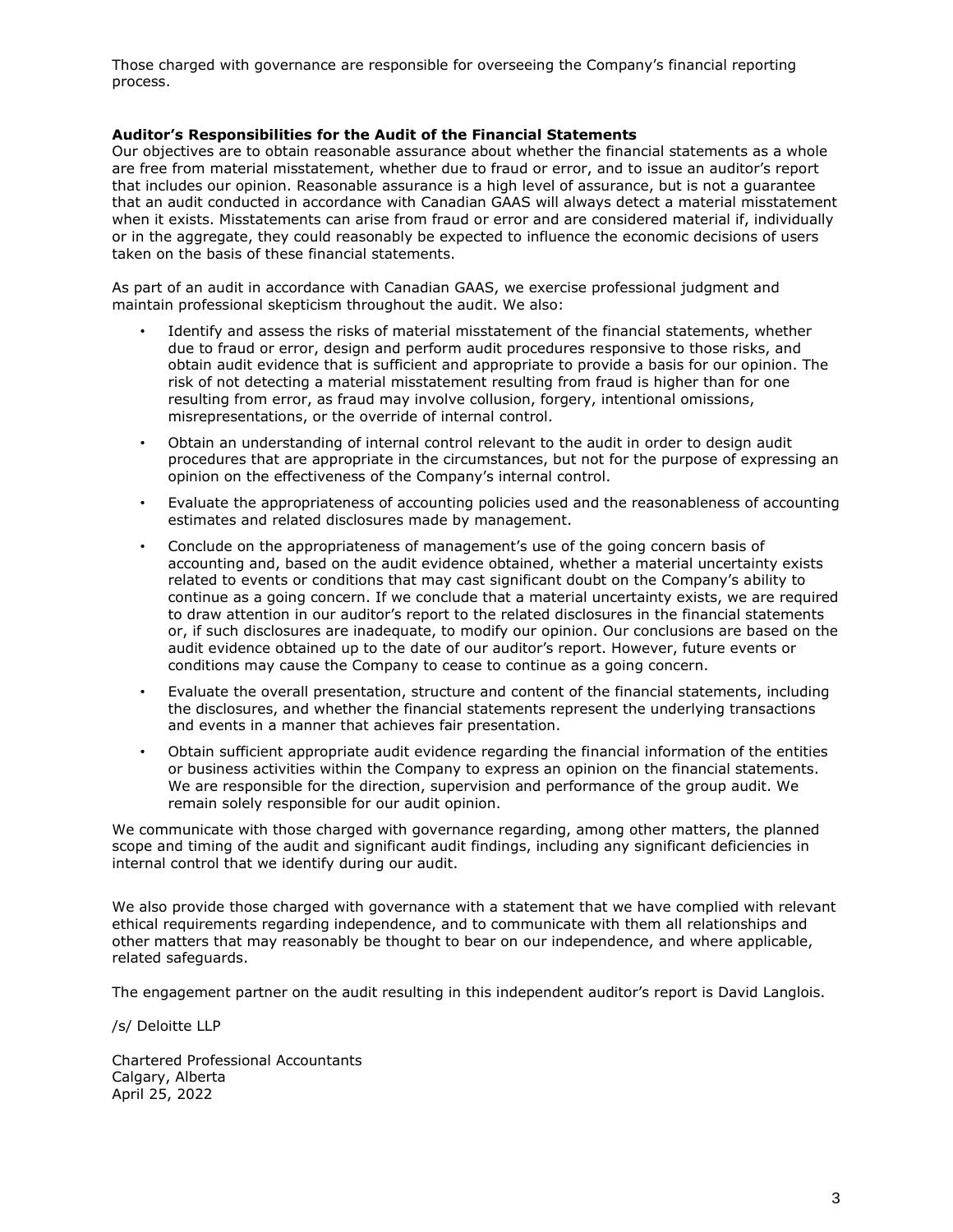Those charged with governance are responsible for overseeing the Company's financial reporting process.

### **Auditor's Responsibilities for the Audit of the Financial Statements**

Our objectives are to obtain reasonable assurance about whether the financial statements as a whole are free from material misstatement, whether due to fraud or error, and to issue an auditor's report that includes our opinion. Reasonable assurance is a high level of assurance, but is not a guarantee that an audit conducted in accordance with Canadian GAAS will always detect a material misstatement when it exists. Misstatements can arise from fraud or error and are considered material if, individually or in the aggregate, they could reasonably be expected to influence the economic decisions of users taken on the basis of these financial statements.

As part of an audit in accordance with Canadian GAAS, we exercise professional judgment and maintain professional skepticism throughout the audit. We also:

- Identify and assess the risks of material misstatement of the financial statements, whether due to fraud or error, design and perform audit procedures responsive to those risks, and obtain audit evidence that is sufficient and appropriate to provide a basis for our opinion. The risk of not detecting a material misstatement resulting from fraud is higher than for one resulting from error, as fraud may involve collusion, forgery, intentional omissions, misrepresentations, or the override of internal control.
- Obtain an understanding of internal control relevant to the audit in order to design audit procedures that are appropriate in the circumstances, but not for the purpose of expressing an opinion on the effectiveness of the Company's internal control.
- Evaluate the appropriateness of accounting policies used and the reasonableness of accounting estimates and related disclosures made by management.
- Conclude on the appropriateness of management's use of the going concern basis of accounting and, based on the audit evidence obtained, whether a material uncertainty exists related to events or conditions that may cast significant doubt on the Company's ability to continue as a going concern. If we conclude that a material uncertainty exists, we are required to draw attention in our auditor's report to the related disclosures in the financial statements or, if such disclosures are inadequate, to modify our opinion. Our conclusions are based on the audit evidence obtained up to the date of our auditor's report. However, future events or conditions may cause the Company to cease to continue as a going concern.
- Evaluate the overall presentation, structure and content of the financial statements, including the disclosures, and whether the financial statements represent the underlying transactions and events in a manner that achieves fair presentation.
- Obtain sufficient appropriate audit evidence regarding the financial information of the entities or business activities within the Company to express an opinion on the financial statements. We are responsible for the direction, supervision and performance of the group audit. We remain solely responsible for our audit opinion.

We communicate with those charged with governance regarding, among other matters, the planned scope and timing of the audit and significant audit findings, including any significant deficiencies in internal control that we identify during our audit.

We also provide those charged with governance with a statement that we have complied with relevant ethical requirements regarding independence, and to communicate with them all relationships and other matters that may reasonably be thought to bear on our independence, and where applicable, related safeguards.

The engagement partner on the audit resulting in this independent auditor's report is David Langlois.

/s/ Deloitte LLP

Chartered Professional Accountants Calgary, Alberta April 25, 2022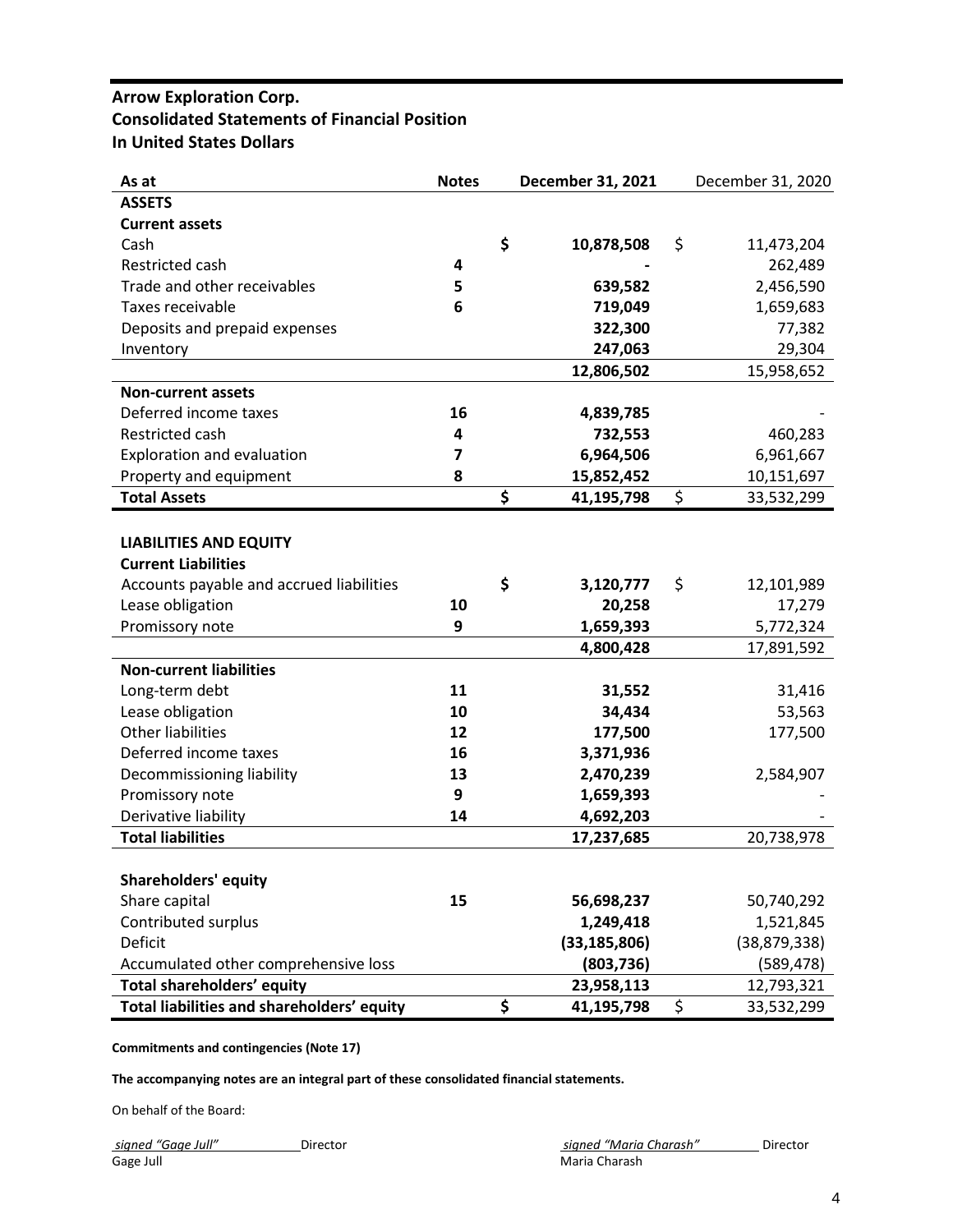### **Arrow Exploration Corp. Consolidated Statements of Financial Position In United States Dollars**

| As at                                      | <b>Notes</b>            | December 31, 2021 | December 31, 2020 |
|--------------------------------------------|-------------------------|-------------------|-------------------|
| <b>ASSETS</b>                              |                         |                   |                   |
| <b>Current assets</b>                      |                         |                   |                   |
| Cash                                       |                         | \$<br>10,878,508  | \$<br>11,473,204  |
| Restricted cash                            | 4                       |                   | 262,489           |
| Trade and other receivables                | 5                       | 639,582           | 2,456,590         |
| Taxes receivable                           | 6                       | 719,049           | 1,659,683         |
| Deposits and prepaid expenses              |                         | 322,300           | 77,382            |
| Inventory                                  |                         | 247,063           | 29,304            |
|                                            |                         | 12,806,502        | 15,958,652        |
| <b>Non-current assets</b>                  |                         |                   |                   |
| Deferred income taxes                      | 16                      | 4,839,785         |                   |
| Restricted cash                            | 4                       | 732,553           | 460,283           |
| Exploration and evaluation                 | $\overline{\mathbf{z}}$ | 6,964,506         | 6,961,667         |
| Property and equipment                     | 8                       | 15,852,452        | 10,151,697        |
| <b>Total Assets</b>                        |                         | \$<br>41,195,798  | \$<br>33,532,299  |
|                                            |                         |                   |                   |
| <b>LIABILITIES AND EQUITY</b>              |                         |                   |                   |
| <b>Current Liabilities</b>                 |                         |                   |                   |
| Accounts payable and accrued liabilities   |                         | \$<br>3,120,777   | \$<br>12,101,989  |
| Lease obligation                           | 10                      | 20,258            | 17,279            |
| Promissory note                            | 9                       | 1,659,393         | 5,772,324         |
|                                            |                         | 4,800,428         | 17,891,592        |
| <b>Non-current liabilities</b>             |                         |                   |                   |
| Long-term debt                             | 11                      | 31,552            | 31,416            |
| Lease obligation                           | 10                      | 34,434            | 53,563            |
| <b>Other liabilities</b>                   | 12                      | 177,500           | 177,500           |
| Deferred income taxes                      | 16                      | 3,371,936         |                   |
| Decommissioning liability                  | 13                      | 2,470,239         | 2,584,907         |
| Promissory note                            | 9                       | 1,659,393         |                   |
| Derivative liability                       | 14                      | 4,692,203         |                   |
| <b>Total liabilities</b>                   |                         | 17,237,685        | 20,738,978        |
|                                            |                         |                   |                   |
| <b>Shareholders' equity</b>                |                         |                   |                   |
| Share capital                              | 15                      | 56,698,237        | 50,740,292        |
| Contributed surplus                        |                         | 1,249,418         | 1,521,845         |
| Deficit                                    |                         | (33, 185, 806)    | (38, 879, 338)    |
| Accumulated other comprehensive loss       |                         | (803, 736)        | (589, 478)        |
| Total shareholders' equity                 |                         | 23,958,113        | 12,793,321        |
| Total liabilities and shareholders' equity |                         | \$<br>41,195,798  | \$<br>33,532,299  |

**Commitments and contingencies (Note 17)**

**The accompanying notes are an integral part of these consolidated financial statements.**

On behalf of the Board:

Gage Juli **Gage Automaker Charash** Maria Charash Maria Charash

*signed "Gage Jull"* Director *signed "Maria Charash"* Director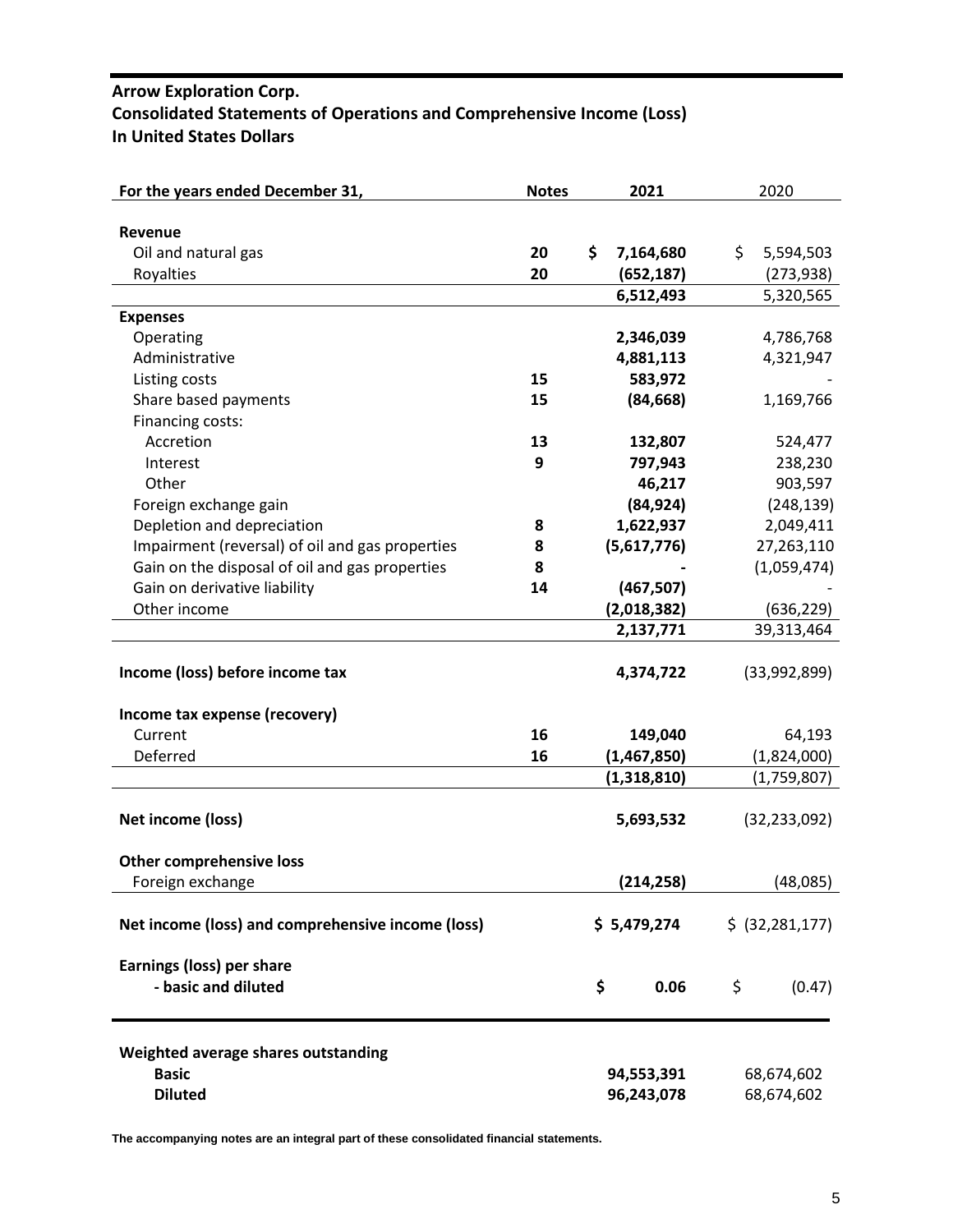### **Arrow Exploration Corp. Consolidated Statements of Operations and Comprehensive Income (Loss) In United States Dollars**

| For the years ended December 31,                  | <b>Notes</b> |             | 2021          | 2020              |
|---------------------------------------------------|--------------|-------------|---------------|-------------------|
|                                                   |              |             |               |                   |
| Revenue                                           |              |             |               |                   |
| Oil and natural gas                               | 20           | \$          | 7,164,680     | \$<br>5,594,503   |
| Royalties                                         | 20           |             | (652, 187)    | (273, 938)        |
|                                                   |              |             | 6,512,493     | 5,320,565         |
| <b>Expenses</b>                                   |              |             |               |                   |
| Operating                                         |              |             | 2,346,039     | 4,786,768         |
| Administrative                                    |              |             | 4,881,113     | 4,321,947         |
| Listing costs                                     | 15           |             | 583,972       |                   |
| Share based payments                              | 15           |             | (84, 668)     | 1,169,766         |
| Financing costs:                                  |              |             |               |                   |
| Accretion                                         | 13           |             | 132,807       | 524,477           |
| Interest                                          | 9            |             | 797,943       | 238,230           |
| Other                                             |              |             | 46,217        | 903,597           |
| Foreign exchange gain                             |              |             | (84, 924)     | (248, 139)        |
| Depletion and depreciation                        | 8            |             | 1,622,937     | 2,049,411         |
| Impairment (reversal) of oil and gas properties   | 8            |             | (5,617,776)   | 27,263,110        |
| Gain on the disposal of oil and gas properties    | 8            |             |               | (1,059,474)       |
| Gain on derivative liability                      | 14           |             | (467, 507)    |                   |
| Other income                                      |              |             | (2,018,382)   | (636, 229)        |
|                                                   |              |             | 2,137,771     | 39,313,464        |
|                                                   |              |             |               |                   |
| Income (loss) before income tax                   |              |             | 4,374,722     | (33,992,899)      |
|                                                   |              |             |               |                   |
| Income tax expense (recovery)                     |              |             |               |                   |
| Current                                           | 16           |             | 149,040       | 64,193            |
| Deferred                                          | 16           |             | (1, 467, 850) | (1,824,000)       |
|                                                   |              |             | (1,318,810)   | (1,759,807)       |
|                                                   |              |             |               |                   |
| Net income (loss)                                 |              |             | 5,693,532     | (32, 233, 092)    |
|                                                   |              |             |               |                   |
| <b>Other comprehensive loss</b>                   |              |             |               |                   |
| Foreign exchange                                  |              |             | (214, 258)    | (48,085)          |
|                                                   |              |             |               |                   |
| Net income (loss) and comprehensive income (loss) |              | \$5,479,274 |               | \$ (32, 281, 177) |
|                                                   |              |             |               |                   |
| <b>Earnings (loss) per share</b>                  |              |             |               |                   |
| - basic and diluted                               |              | \$          | 0.06          | \$<br>(0.47)      |
|                                                   |              |             |               |                   |
|                                                   |              |             |               |                   |
| Weighted average shares outstanding               |              |             |               |                   |
| <b>Basic</b>                                      |              |             | 94,553,391    | 68,674,602        |
| <b>Diluted</b>                                    |              |             | 96,243,078    | 68,674,602        |
|                                                   |              |             |               |                   |

**The accompanying notes are an integral part of these consolidated financial statements.**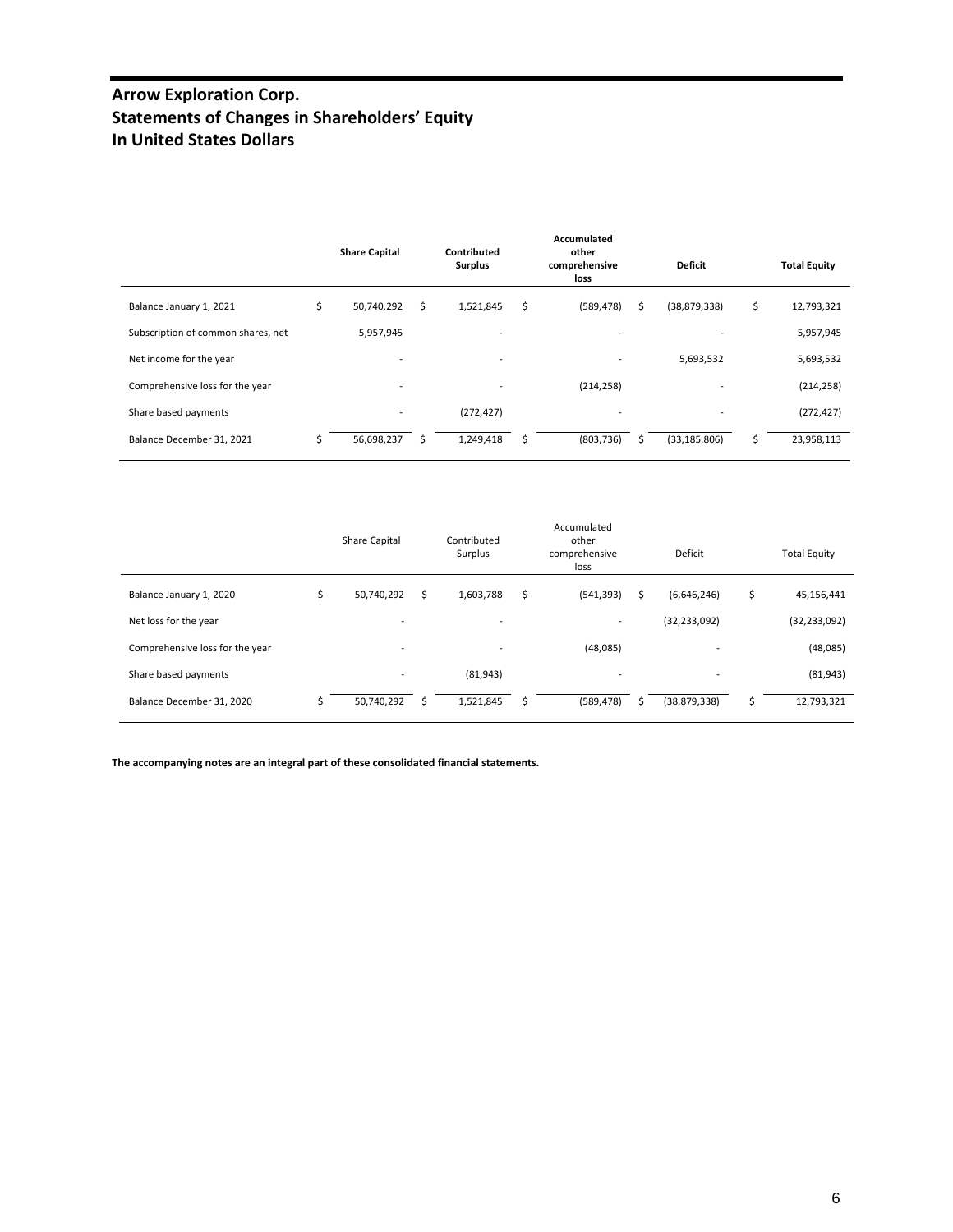### **Arrow Exploration Corp. Statements of Changes in Shareholders' Equity In United States Dollars**

|                                    | <b>Share Capital</b>     |    | Contributed<br><b>Surplus</b> |    | Accumulated<br>other<br>comprehensive<br>loss |    | <b>Deficit</b>           |    | <b>Total Equity</b> |
|------------------------------------|--------------------------|----|-------------------------------|----|-----------------------------------------------|----|--------------------------|----|---------------------|
| Balance January 1, 2021            | \$<br>50,740,292         | Ś. | 1,521,845                     | \$ | (589, 478)                                    | \$ | (38, 879, 338)           | \$ | 12,793,321          |
| Subscription of common shares, net | 5,957,945                |    |                               |    |                                               |    |                          |    | 5,957,945           |
| Net income for the year            | $\overline{\phantom{a}}$ |    | ۰                             |    | $\overline{a}$                                |    | 5,693,532                |    | 5,693,532           |
| Comprehensive loss for the year    | ۰                        |    | $\overline{\phantom{0}}$      |    | (214, 258)                                    |    |                          |    | (214, 258)          |
| Share based payments               | ٠                        |    | (272, 427)                    |    | $\overline{\phantom{0}}$                      |    | $\overline{\phantom{a}}$ |    | (272, 427)          |
| Balance December 31, 2021          | \$<br>56,698,237         | S  | 1,249,418                     | Ś  | (803, 736)                                    | s  | (33, 185, 806)           | Ś. | 23,958,113          |

|                                 |    | <b>Share Capital</b> |    | Contributed<br>Surplus   |    | Accumulated<br>other<br>comprehensive<br>loss |    | Deficit                  |    | <b>Total Equity</b> |
|---------------------------------|----|----------------------|----|--------------------------|----|-----------------------------------------------|----|--------------------------|----|---------------------|
| Balance January 1, 2020         | \$ | 50,740,292           | \$ | 1,603,788                | \$ | (541, 393)                                    | \$ | (6,646,246)              | \$ | 45,156,441          |
| Net loss for the year           |    | $\blacksquare$       |    | ۰                        |    | $\overline{\phantom{a}}$                      |    | (32, 233, 092)           |    | (32, 233, 092)      |
| Comprehensive loss for the year |    | -                    |    | $\overline{\phantom{a}}$ |    | (48,085)                                      |    | $\overline{\phantom{0}}$ |    | (48,085)            |
| Share based payments            |    |                      |    | (81, 943)                |    | $\overline{\phantom{0}}$                      |    | $\overline{\phantom{0}}$ |    | (81, 943)           |
| Balance December 31, 2020       | Ś  | 50,740,292           | Ś. | 1,521,845                | Ś  | (589, 478)                                    | Ś  | (38, 879, 338)           | Ŝ  | 12,793,321          |

**The accompanying notes are an integral part of these consolidated financial statements.**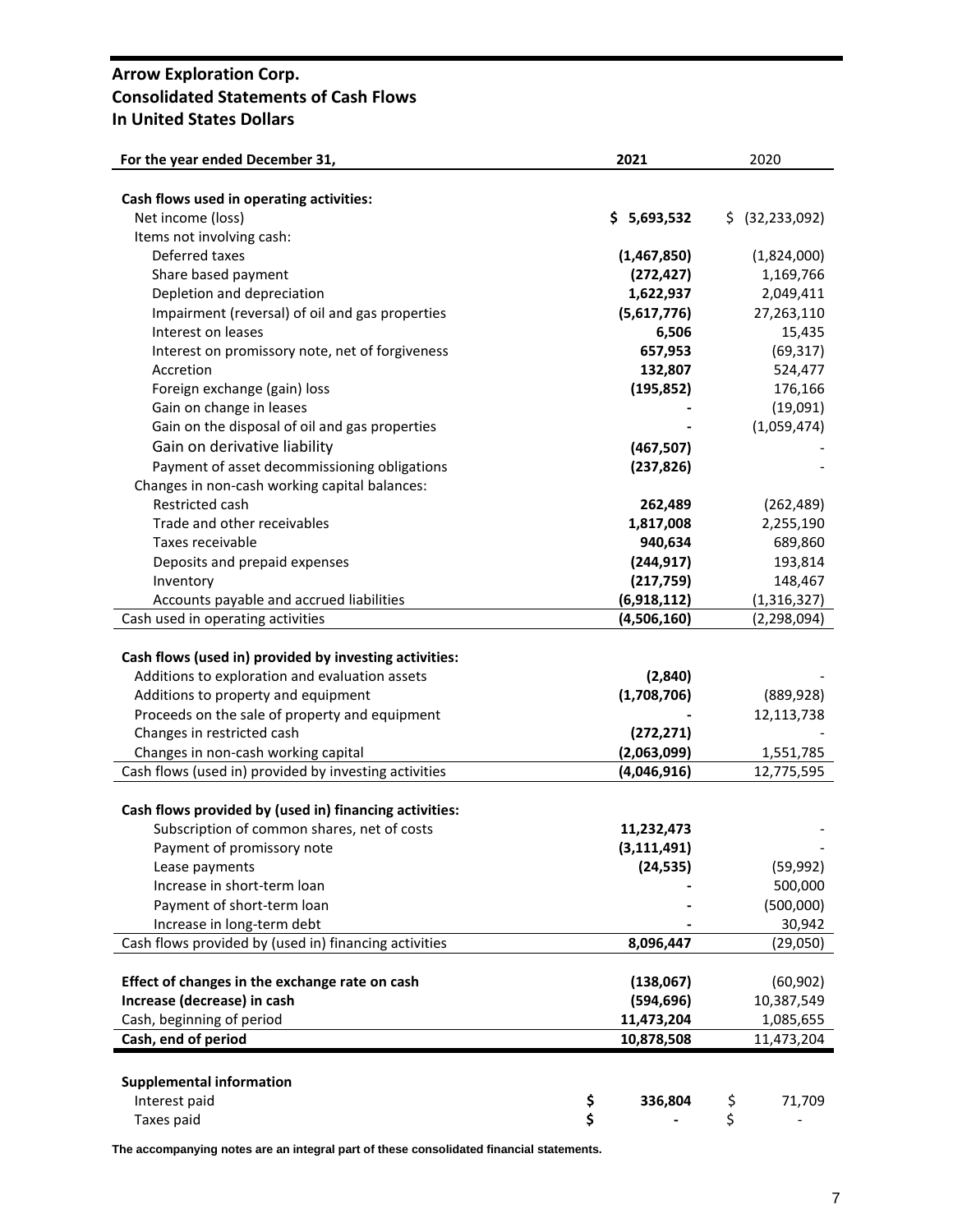### **Arrow Exploration Corp. Consolidated Statements of Cash Flows In United States Dollars**

| For the year ended December 31,                        | 2021          | 2020              |
|--------------------------------------------------------|---------------|-------------------|
|                                                        |               |                   |
| Cash flows used in operating activities:               |               |                   |
| Net income (loss)                                      | \$5,693,532   | \$ (32, 233, 092) |
| Items not involving cash:                              |               |                   |
| Deferred taxes                                         | (1,467,850)   | (1,824,000)       |
| Share based payment                                    | (272, 427)    | 1,169,766         |
| Depletion and depreciation                             | 1,622,937     | 2,049,411         |
| Impairment (reversal) of oil and gas properties        | (5,617,776)   | 27,263,110        |
| Interest on leases                                     | 6,506         | 15,435            |
| Interest on promissory note, net of forgiveness        | 657,953       | (69, 317)         |
| Accretion                                              | 132,807       | 524,477           |
| Foreign exchange (gain) loss                           | (195, 852)    | 176,166           |
| Gain on change in leases                               |               | (19,091)          |
| Gain on the disposal of oil and gas properties         |               | (1,059,474)       |
| Gain on derivative liability                           | (467, 507)    |                   |
| Payment of asset decommissioning obligations           | (237, 826)    |                   |
| Changes in non-cash working capital balances:          |               |                   |
| Restricted cash                                        | 262,489       | (262, 489)        |
| Trade and other receivables                            | 1,817,008     | 2,255,190         |
| Taxes receivable                                       | 940,634       | 689,860           |
| Deposits and prepaid expenses                          | (244, 917)    | 193,814           |
| Inventory                                              | (217, 759)    | 148,467           |
| Accounts payable and accrued liabilities               | (6,918,112)   | (1,316,327)       |
| Cash used in operating activities                      | (4,506,160)   | (2, 298, 094)     |
|                                                        |               |                   |
| Cash flows (used in) provided by investing activities: |               |                   |
| Additions to exploration and evaluation assets         | (2,840)       |                   |
| Additions to property and equipment                    | (1,708,706)   | (889, 928)        |
| Proceeds on the sale of property and equipment         |               | 12,113,738        |
| Changes in restricted cash                             | (272, 271)    |                   |
| Changes in non-cash working capital                    | (2,063,099)   | 1,551,785         |
| Cash flows (used in) provided by investing activities  | (4,046,916)   | 12,775,595        |
|                                                        |               |                   |
| Cash flows provided by (used in) financing activities: |               |                   |
| Subscription of common shares, net of costs            | 11,232,473    |                   |
| Payment of promissory note                             | (3, 111, 491) |                   |
| Lease payments                                         | (24, 535)     | (59, 992)         |
| Increase in short-term loan                            |               | 500,000           |
| Payment of short-term loan                             |               | (500,000)         |
| Increase in long-term debt                             |               | 30,942            |
| Cash flows provided by (used in) financing activities  | 8,096,447     | (29,050)          |
|                                                        |               |                   |
| Effect of changes in the exchange rate on cash         | (138,067)     | (60, 902)         |
| Increase (decrease) in cash                            | (594, 696)    | 10,387,549        |
| Cash, beginning of period                              | 11,473,204    | 1,085,655         |
| Cash, end of period                                    | 10,878,508    | 11,473,204        |
|                                                        |               |                   |
|                                                        |               |                   |
| <b>Supplemental information</b>                        |               |                   |
| Interest paid                                          | \$<br>336,804 | \$<br>71,709      |
| Taxes paid                                             | \$            | \$                |

**The accompanying notes are an integral part of these consolidated financial statements.**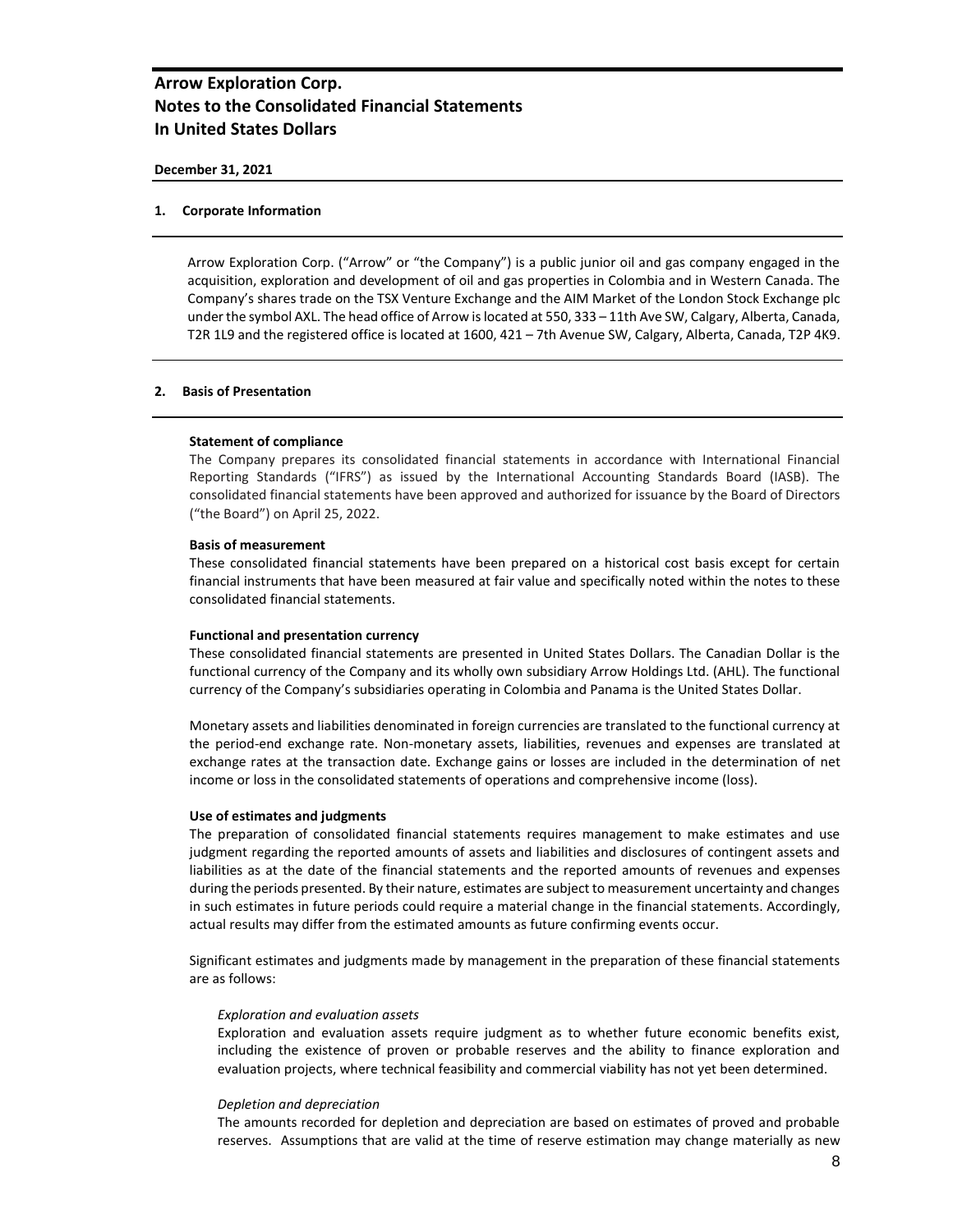### **December 31, 2021**

#### **1. Corporate Information**

Arrow Exploration Corp. ("Arrow" or "the Company") is a public junior oil and gas company engaged in the acquisition, exploration and development of oil and gas properties in Colombia and in Western Canada. The Company's shares trade on the TSX Venture Exchange and the AIM Market of the London Stock Exchange plc under the symbol AXL. The head office of Arrow is located at 550, 333 – 11th Ave SW, Calgary, Alberta, Canada, T2R 1L9 and the registered office is located at 1600, 421 – 7th Avenue SW, Calgary, Alberta, Canada, T2P 4K9.

### **2. Basis of Presentation**

#### **Statement of compliance**

The Company prepares its consolidated financial statements in accordance with International Financial Reporting Standards ("IFRS") as issued by the International Accounting Standards Board (IASB). The consolidated financial statements have been approved and authorized for issuance by the Board of Directors ("the Board") on April 25, 2022.

### **Basis of measurement**

These consolidated financial statements have been prepared on a historical cost basis except for certain financial instruments that have been measured at fair value and specifically noted within the notes to these consolidated financial statements.

#### **Functional and presentation currency**

These consolidated financial statements are presented in United States Dollars. The Canadian Dollar is the functional currency of the Company and its wholly own subsidiary Arrow Holdings Ltd. (AHL). The functional currency of the Company's subsidiaries operating in Colombia and Panama is the United States Dollar.

Monetary assets and liabilities denominated in foreign currencies are translated to the functional currency at the period-end exchange rate. Non-monetary assets, liabilities, revenues and expenses are translated at exchange rates at the transaction date. Exchange gains or losses are included in the determination of net income or loss in the consolidated statements of operations and comprehensive income (loss).

#### **Use of estimates and judgments**

The preparation of consolidated financial statements requires management to make estimates and use judgment regarding the reported amounts of assets and liabilities and disclosures of contingent assets and liabilities as at the date of the financial statements and the reported amounts of revenues and expenses during the periods presented. By their nature, estimates are subject to measurement uncertainty and changes in such estimates in future periods could require a material change in the financial statements. Accordingly, actual results may differ from the estimated amounts as future confirming events occur.

Significant estimates and judgments made by management in the preparation of these financial statements are as follows:

#### *Exploration and evaluation assets*

Exploration and evaluation assets require judgment as to whether future economic benefits exist, including the existence of proven or probable reserves and the ability to finance exploration and evaluation projects, where technical feasibility and commercial viability has not yet been determined.

#### *Depletion and depreciation*

The amounts recorded for depletion and depreciation are based on estimates of proved and probable reserves. Assumptions that are valid at the time of reserve estimation may change materially as new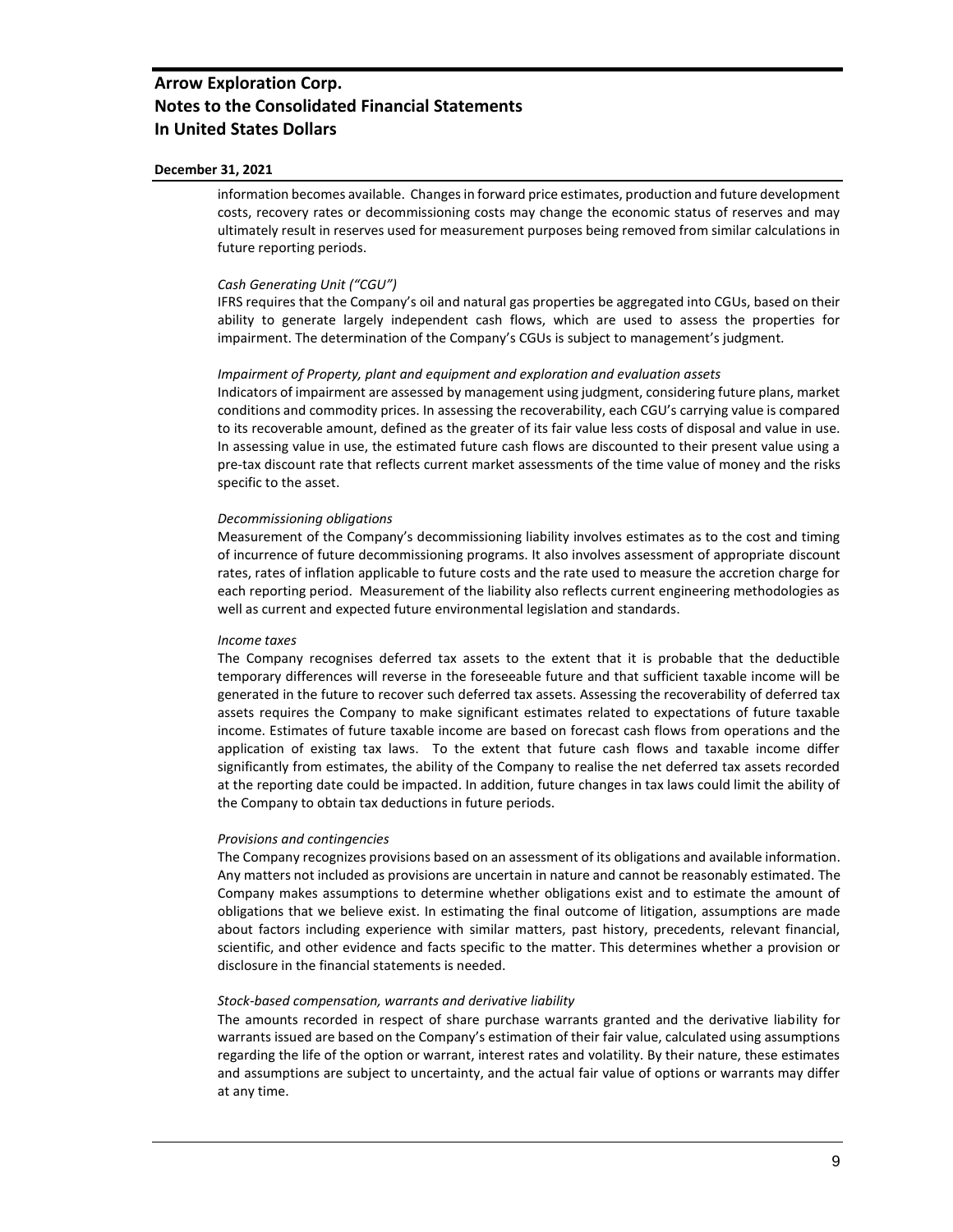### **December 31, 2021**

information becomes available. Changes in forward price estimates, production and future development costs, recovery rates or decommissioning costs may change the economic status of reserves and may ultimately result in reserves used for measurement purposes being removed from similar calculations in future reporting periods.

### *Cash Generating Unit ("CGU")*

IFRS requires that the Company's oil and natural gas properties be aggregated into CGUs, based on their ability to generate largely independent cash flows, which are used to assess the properties for impairment. The determination of the Company's CGUs is subject to management's judgment.

### *Impairment of Property, plant and equipment and exploration and evaluation assets*

Indicators of impairment are assessed by management using judgment, considering future plans, market conditions and commodity prices. In assessing the recoverability, each CGU's carrying value is compared to its recoverable amount, defined as the greater of its fair value less costs of disposal and value in use. In assessing value in use, the estimated future cash flows are discounted to their present value using a pre-tax discount rate that reflects current market assessments of the time value of money and the risks specific to the asset.

### *Decommissioning obligations*

Measurement of the Company's decommissioning liability involves estimates as to the cost and timing of incurrence of future decommissioning programs. It also involves assessment of appropriate discount rates, rates of inflation applicable to future costs and the rate used to measure the accretion charge for each reporting period. Measurement of the liability also reflects current engineering methodologies as well as current and expected future environmental legislation and standards.

### *Income taxes*

The Company recognises deferred tax assets to the extent that it is probable that the deductible temporary differences will reverse in the foreseeable future and that sufficient taxable income will be generated in the future to recover such deferred tax assets. Assessing the recoverability of deferred tax assets requires the Company to make significant estimates related to expectations of future taxable income. Estimates of future taxable income are based on forecast cash flows from operations and the application of existing tax laws. To the extent that future cash flows and taxable income differ significantly from estimates, the ability of the Company to realise the net deferred tax assets recorded at the reporting date could be impacted. In addition, future changes in tax laws could limit the ability of the Company to obtain tax deductions in future periods.

### *Provisions and contingencies*

The Company recognizes provisions based on an assessment of its obligations and available information. Any matters not included as provisions are uncertain in nature and cannot be reasonably estimated. The Company makes assumptions to determine whether obligations exist and to estimate the amount of obligations that we believe exist. In estimating the final outcome of litigation, assumptions are made about factors including experience with similar matters, past history, precedents, relevant financial, scientific, and other evidence and facts specific to the matter. This determines whether a provision or disclosure in the financial statements is needed.

### *Stock-based compensation, warrants and derivative liability*

The amounts recorded in respect of share purchase warrants granted and the derivative liability for warrants issued are based on the Company's estimation of their fair value, calculated using assumptions regarding the life of the option or warrant, interest rates and volatility. By their nature, these estimates and assumptions are subject to uncertainty, and the actual fair value of options or warrants may differ at any time.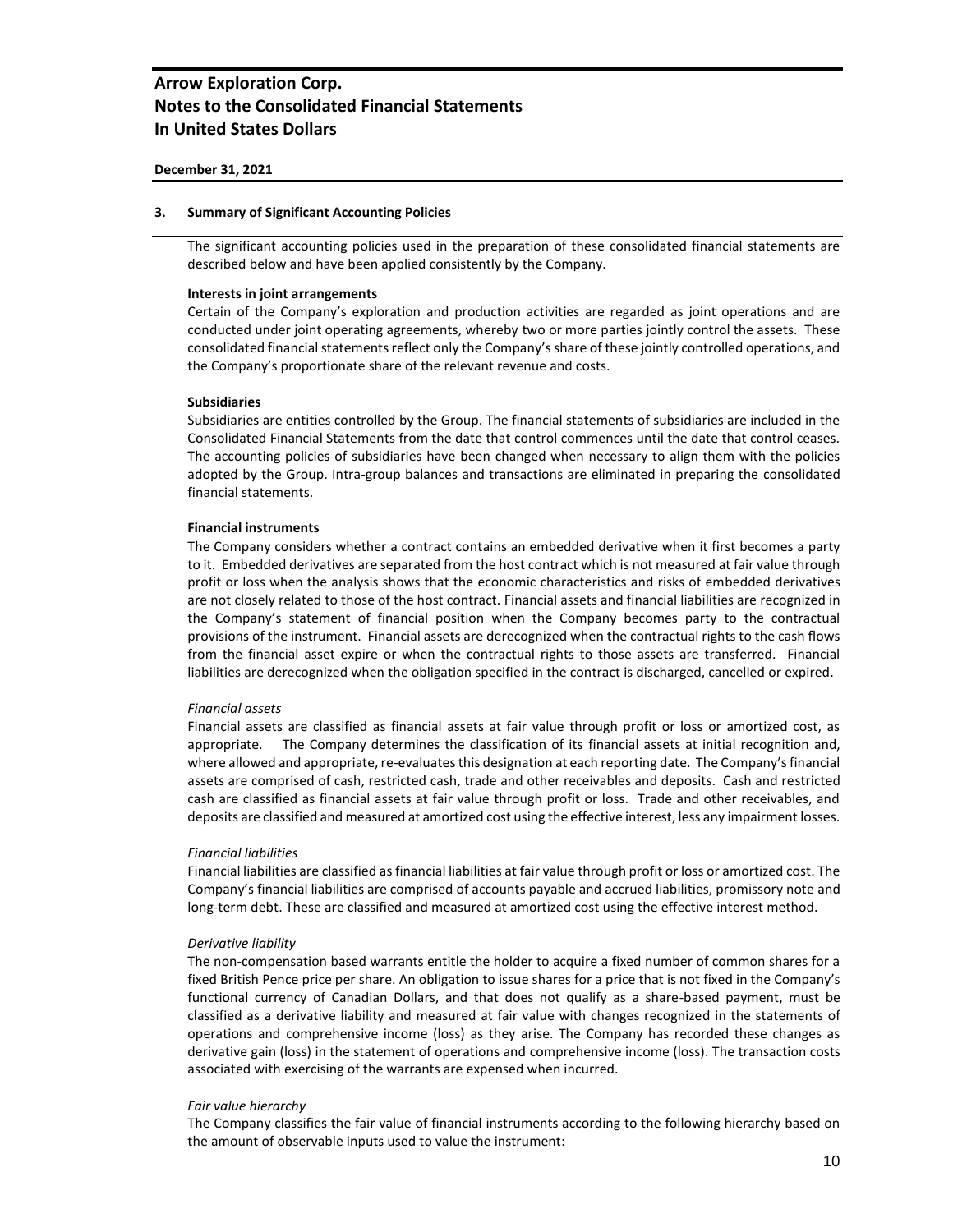### **December 31, 2021**

### **3. Summary of Significant Accounting Policies**

The significant accounting policies used in the preparation of these consolidated financial statements are described below and have been applied consistently by the Company.

### **Interests in joint arrangements**

Certain of the Company's exploration and production activities are regarded as joint operations and are conducted under joint operating agreements, whereby two or more parties jointly control the assets. These consolidated financial statements reflect only the Company's share of these jointly controlled operations, and the Company's proportionate share of the relevant revenue and costs.

### **Subsidiaries**

Subsidiaries are entities controlled by the Group. The financial statements of subsidiaries are included in the Consolidated Financial Statements from the date that control commences until the date that control ceases. The accounting policies of subsidiaries have been changed when necessary to align them with the policies adopted by the Group. Intra-group balances and transactions are eliminated in preparing the consolidated financial statements.

### **Financial instruments**

The Company considers whether a contract contains an embedded derivative when it first becomes a party to it. Embedded derivatives are separated from the host contract which is not measured at fair value through profit or loss when the analysis shows that the economic characteristics and risks of embedded derivatives are not closely related to those of the host contract. Financial assets and financial liabilities are recognized in the Company's statement of financial position when the Company becomes party to the contractual provisions of the instrument. Financial assets are derecognized when the contractual rights to the cash flows from the financial asset expire or when the contractual rights to those assets are transferred. Financial liabilities are derecognized when the obligation specified in the contract is discharged, cancelled or expired.

### *Financial assets*

Financial assets are classified as financial assets at fair value through profit or loss or amortized cost, as appropriate. The Company determines the classification of its financial assets at initial recognition and, where allowed and appropriate, re-evaluates this designation at each reporting date. The Company's financial assets are comprised of cash, restricted cash, trade and other receivables and deposits. Cash and restricted cash are classified as financial assets at fair value through profit or loss. Trade and other receivables, and deposits are classified and measured at amortized cost using the effective interest, less any impairment losses.

### *Financial liabilities*

Financial liabilities are classified as financial liabilities at fair value through profit or loss or amortized cost. The Company's financial liabilities are comprised of accounts payable and accrued liabilities, promissory note and long-term debt. These are classified and measured at amortized cost using the effective interest method.

### *Derivative liability*

The non-compensation based warrants entitle the holder to acquire a fixed number of common shares for a fixed British Pence price per share. An obligation to issue shares for a price that is not fixed in the Company's functional currency of Canadian Dollars, and that does not qualify as a share-based payment, must be classified as a derivative liability and measured at fair value with changes recognized in the statements of operations and comprehensive income (loss) as they arise. The Company has recorded these changes as derivative gain (loss) in the statement of operations and comprehensive income (loss). The transaction costs associated with exercising of the warrants are expensed when incurred.

### *Fair value hierarchy*

The Company classifies the fair value of financial instruments according to the following hierarchy based on the amount of observable inputs used to value the instrument: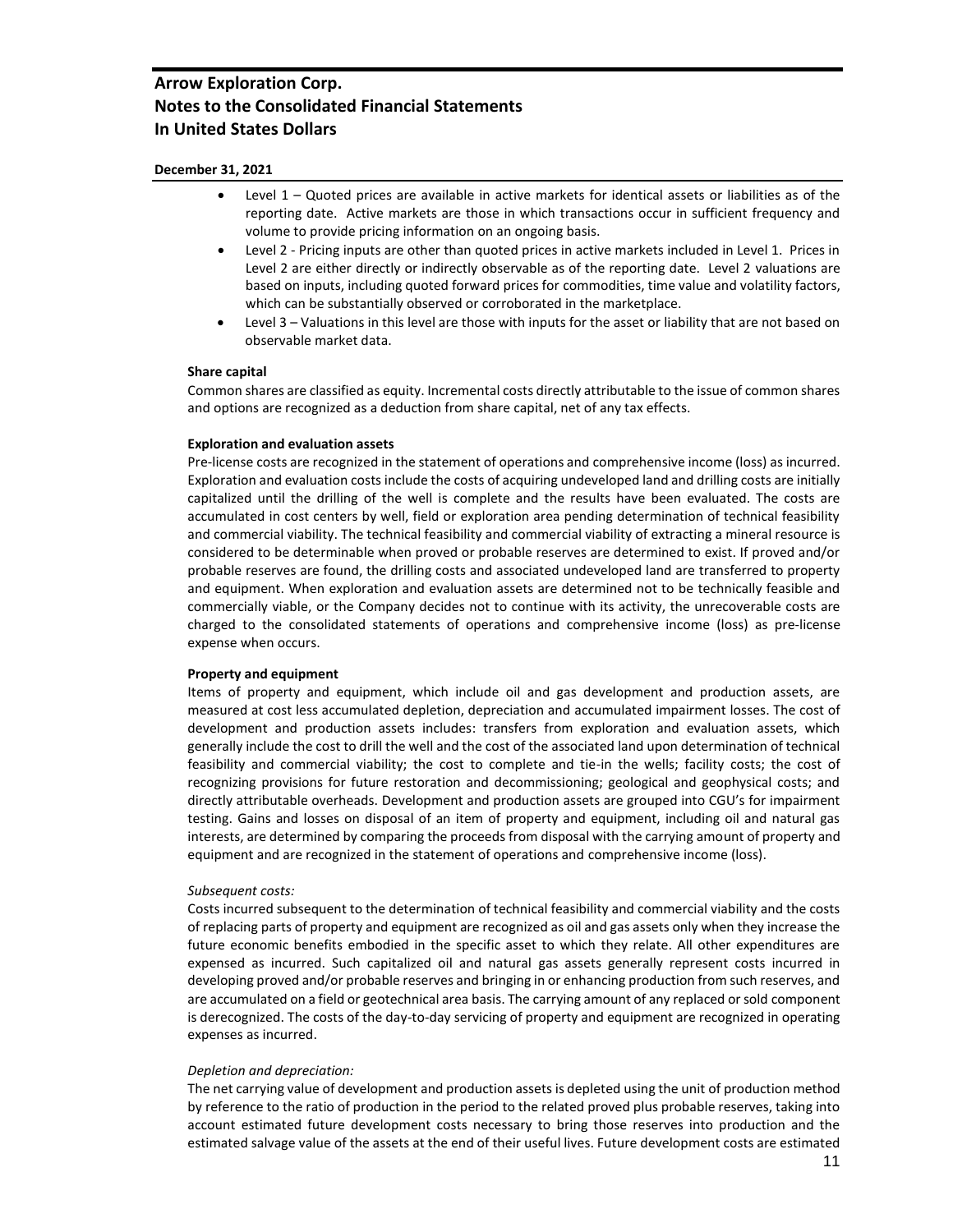### **December 31, 2021**

- Level 1 Quoted prices are available in active markets for identical assets or liabilities as of the reporting date. Active markets are those in which transactions occur in sufficient frequency and volume to provide pricing information on an ongoing basis.
- Level 2 Pricing inputs are other than quoted prices in active markets included in Level 1. Prices in Level 2 are either directly or indirectly observable as of the reporting date. Level 2 valuations are based on inputs, including quoted forward prices for commodities, time value and volatility factors, which can be substantially observed or corroborated in the marketplace.
- Level 3 Valuations in this level are those with inputs for the asset or liability that are not based on observable market data.

### **Share capital**

Common shares are classified as equity. Incremental costs directly attributable to the issue of common shares and options are recognized as a deduction from share capital, net of any tax effects.

### **Exploration and evaluation assets**

Pre-license costs are recognized in the statement of operations and comprehensive income (loss) as incurred. Exploration and evaluation costs include the costs of acquiring undeveloped land and drilling costs are initially capitalized until the drilling of the well is complete and the results have been evaluated. The costs are accumulated in cost centers by well, field or exploration area pending determination of technical feasibility and commercial viability. The technical feasibility and commercial viability of extracting a mineral resource is considered to be determinable when proved or probable reserves are determined to exist. If proved and/or probable reserves are found, the drilling costs and associated undeveloped land are transferred to property and equipment. When exploration and evaluation assets are determined not to be technically feasible and commercially viable, or the Company decides not to continue with its activity, the unrecoverable costs are charged to the consolidated statements of operations and comprehensive income (loss) as pre-license expense when occurs.

### **Property and equipment**

Items of property and equipment, which include oil and gas development and production assets, are measured at cost less accumulated depletion, depreciation and accumulated impairment losses. The cost of development and production assets includes: transfers from exploration and evaluation assets, which generally include the cost to drill the well and the cost of the associated land upon determination of technical feasibility and commercial viability; the cost to complete and tie-in the wells; facility costs; the cost of recognizing provisions for future restoration and decommissioning; geological and geophysical costs; and directly attributable overheads. Development and production assets are grouped into CGU's for impairment testing. Gains and losses on disposal of an item of property and equipment, including oil and natural gas interests, are determined by comparing the proceeds from disposal with the carrying amount of property and equipment and are recognized in the statement of operations and comprehensive income (loss).

### *Subsequent costs:*

Costs incurred subsequent to the determination of technical feasibility and commercial viability and the costs of replacing parts of property and equipment are recognized as oil and gas assets only when they increase the future economic benefits embodied in the specific asset to which they relate. All other expenditures are expensed as incurred. Such capitalized oil and natural gas assets generally represent costs incurred in developing proved and/or probable reserves and bringing in or enhancing production from such reserves, and are accumulated on a field or geotechnical area basis. The carrying amount of any replaced or sold component is derecognized. The costs of the day-to-day servicing of property and equipment are recognized in operating expenses as incurred.

### *Depletion and depreciation:*

The net carrying value of development and production assets is depleted using the unit of production method by reference to the ratio of production in the period to the related proved plus probable reserves, taking into account estimated future development costs necessary to bring those reserves into production and the estimated salvage value of the assets at the end of their useful lives. Future development costs are estimated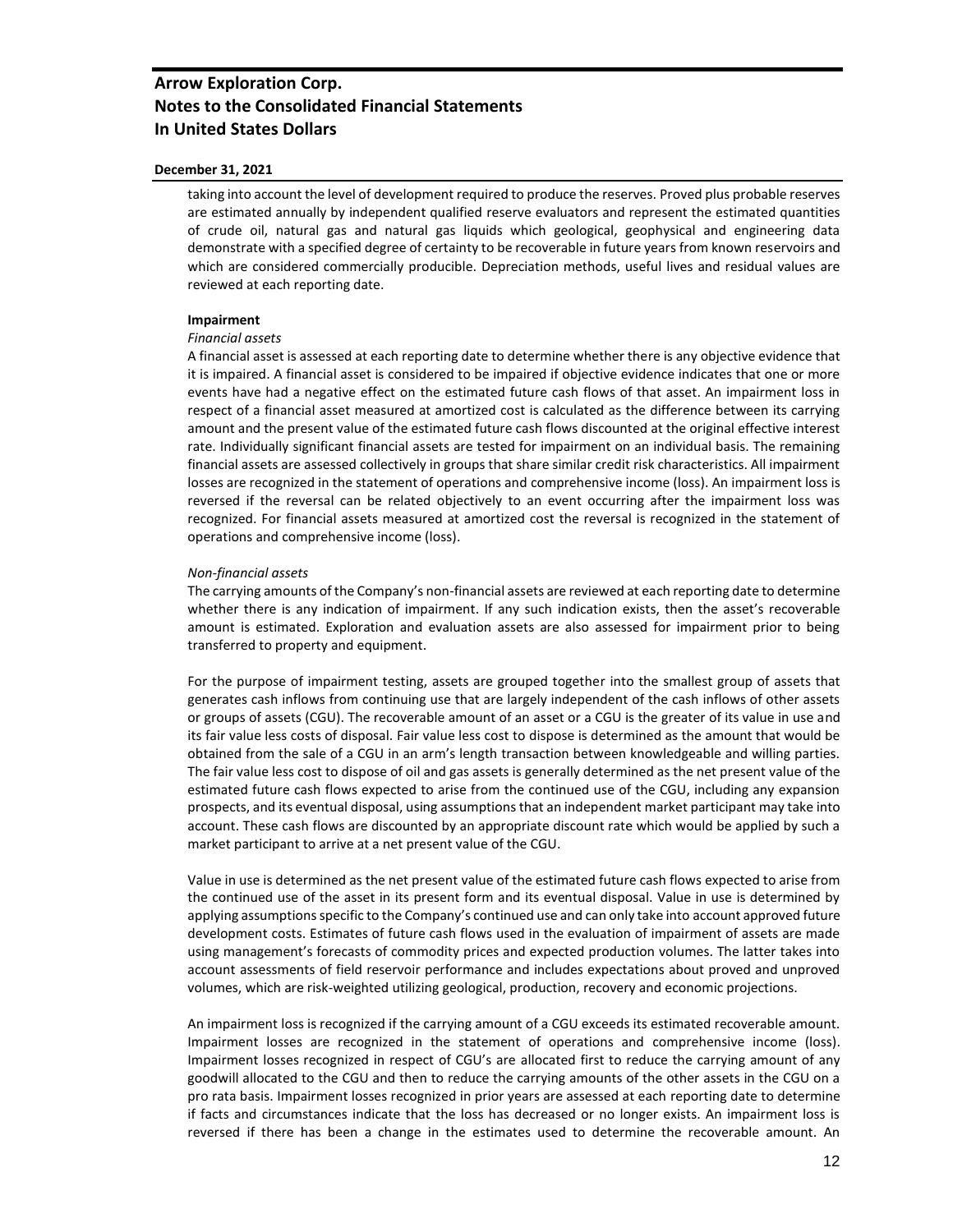### **December 31, 2021**

taking into account the level of development required to produce the reserves. Proved plus probable reserves are estimated annually by independent qualified reserve evaluators and represent the estimated quantities of crude oil, natural gas and natural gas liquids which geological, geophysical and engineering data demonstrate with a specified degree of certainty to be recoverable in future years from known reservoirs and which are considered commercially producible. Depreciation methods, useful lives and residual values are reviewed at each reporting date.

### **Impairment**

### *Financial assets*

A financial asset is assessed at each reporting date to determine whether there is any objective evidence that it is impaired. A financial asset is considered to be impaired if objective evidence indicates that one or more events have had a negative effect on the estimated future cash flows of that asset. An impairment loss in respect of a financial asset measured at amortized cost is calculated as the difference between its carrying amount and the present value of the estimated future cash flows discounted at the original effective interest rate. Individually significant financial assets are tested for impairment on an individual basis. The remaining financial assets are assessed collectively in groups that share similar credit risk characteristics. All impairment losses are recognized in the statement of operations and comprehensive income (loss). An impairment loss is reversed if the reversal can be related objectively to an event occurring after the impairment loss was recognized. For financial assets measured at amortized cost the reversal is recognized in the statement of operations and comprehensive income (loss).

### *Non-financial assets*

The carrying amounts of the Company's non-financial assets are reviewed at each reporting date to determine whether there is any indication of impairment. If any such indication exists, then the asset's recoverable amount is estimated. Exploration and evaluation assets are also assessed for impairment prior to being transferred to property and equipment.

For the purpose of impairment testing, assets are grouped together into the smallest group of assets that generates cash inflows from continuing use that are largely independent of the cash inflows of other assets or groups of assets (CGU). The recoverable amount of an asset or a CGU is the greater of its value in use and its fair value less costs of disposal. Fair value less cost to dispose is determined as the amount that would be obtained from the sale of a CGU in an arm's length transaction between knowledgeable and willing parties. The fair value less cost to dispose of oil and gas assets is generally determined as the net present value of the estimated future cash flows expected to arise from the continued use of the CGU, including any expansion prospects, and its eventual disposal, using assumptions that an independent market participant may take into account. These cash flows are discounted by an appropriate discount rate which would be applied by such a market participant to arrive at a net present value of the CGU.

Value in use is determined as the net present value of the estimated future cash flows expected to arise from the continued use of the asset in its present form and its eventual disposal. Value in use is determined by applying assumptions specific to the Company's continued use and can only take into account approved future development costs. Estimates of future cash flows used in the evaluation of impairment of assets are made using management's forecasts of commodity prices and expected production volumes. The latter takes into account assessments of field reservoir performance and includes expectations about proved and unproved volumes, which are risk-weighted utilizing geological, production, recovery and economic projections.

An impairment loss is recognized if the carrying amount of a CGU exceeds its estimated recoverable amount. Impairment losses are recognized in the statement of operations and comprehensive income (loss). Impairment losses recognized in respect of CGU's are allocated first to reduce the carrying amount of any goodwill allocated to the CGU and then to reduce the carrying amounts of the other assets in the CGU on a pro rata basis. Impairment losses recognized in prior years are assessed at each reporting date to determine if facts and circumstances indicate that the loss has decreased or no longer exists. An impairment loss is reversed if there has been a change in the estimates used to determine the recoverable amount. An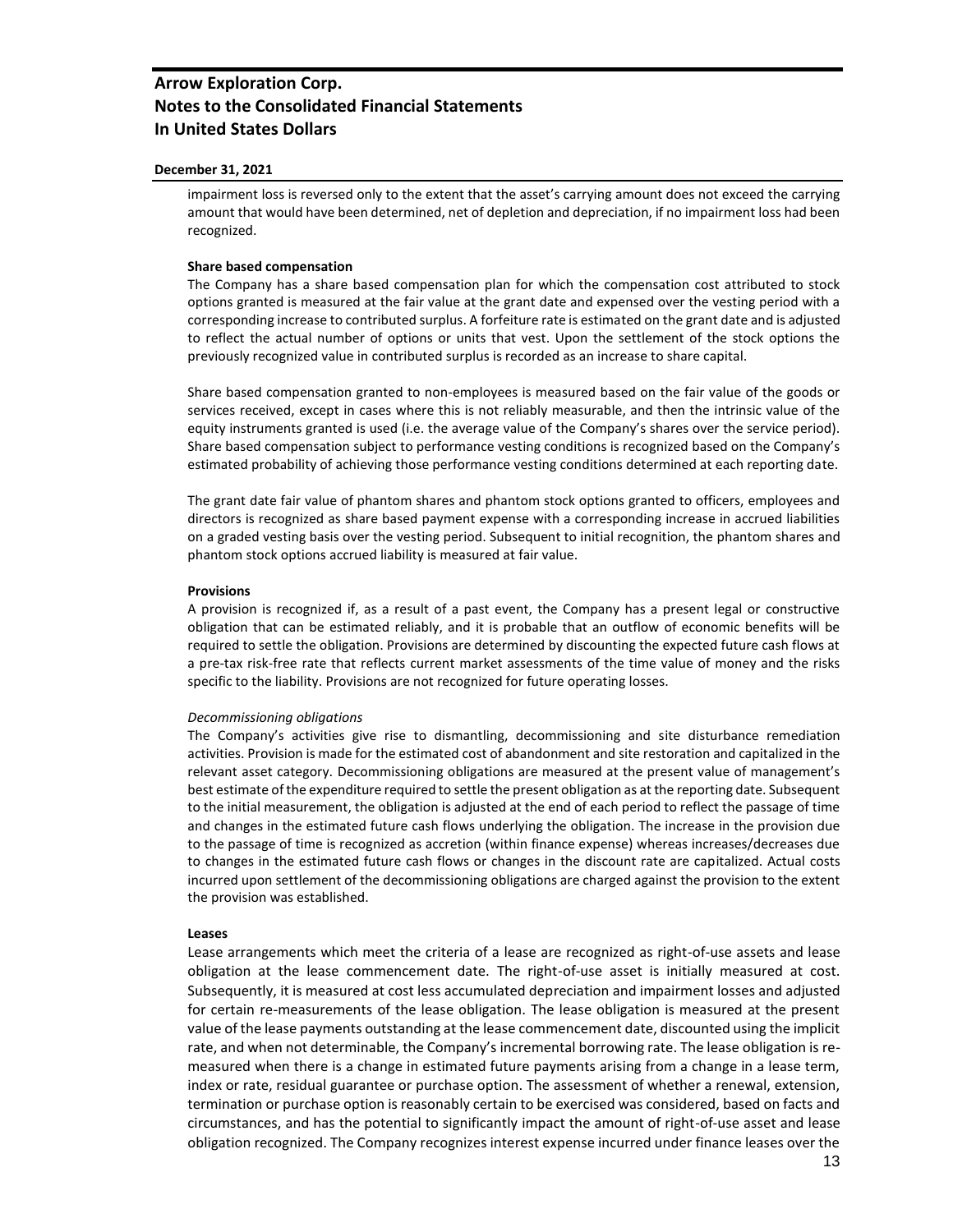### **December 31, 2021**

impairment loss is reversed only to the extent that the asset's carrying amount does not exceed the carrying amount that would have been determined, net of depletion and depreciation, if no impairment loss had been recognized.

### **Share based compensation**

The Company has a share based compensation plan for which the compensation cost attributed to stock options granted is measured at the fair value at the grant date and expensed over the vesting period with a corresponding increase to contributed surplus. A forfeiture rate is estimated on the grant date and is adjusted to reflect the actual number of options or units that vest. Upon the settlement of the stock options the previously recognized value in contributed surplus is recorded as an increase to share capital.

Share based compensation granted to non-employees is measured based on the fair value of the goods or services received, except in cases where this is not reliably measurable, and then the intrinsic value of the equity instruments granted is used (i.e. the average value of the Company's shares over the service period). Share based compensation subject to performance vesting conditions is recognized based on the Company's estimated probability of achieving those performance vesting conditions determined at each reporting date.

The grant date fair value of phantom shares and phantom stock options granted to officers, employees and directors is recognized as share based payment expense with a corresponding increase in accrued liabilities on a graded vesting basis over the vesting period. Subsequent to initial recognition, the phantom shares and phantom stock options accrued liability is measured at fair value.

### **Provisions**

A provision is recognized if, as a result of a past event, the Company has a present legal or constructive obligation that can be estimated reliably, and it is probable that an outflow of economic benefits will be required to settle the obligation. Provisions are determined by discounting the expected future cash flows at a pre-tax risk-free rate that reflects current market assessments of the time value of money and the risks specific to the liability. Provisions are not recognized for future operating losses.

### *Decommissioning obligations*

The Company's activities give rise to dismantling, decommissioning and site disturbance remediation activities. Provision is made for the estimated cost of abandonment and site restoration and capitalized in the relevant asset category. Decommissioning obligations are measured at the present value of management's best estimate of the expenditure required to settle the present obligation as at the reporting date. Subsequent to the initial measurement, the obligation is adjusted at the end of each period to reflect the passage of time and changes in the estimated future cash flows underlying the obligation. The increase in the provision due to the passage of time is recognized as accretion (within finance expense) whereas increases/decreases due to changes in the estimated future cash flows or changes in the discount rate are capitalized. Actual costs incurred upon settlement of the decommissioning obligations are charged against the provision to the extent the provision was established.

### **Leases**

Lease arrangements which meet the criteria of a lease are recognized as right-of-use assets and lease obligation at the lease commencement date. The right-of-use asset is initially measured at cost. Subsequently, it is measured at cost less accumulated depreciation and impairment losses and adjusted for certain re-measurements of the lease obligation. The lease obligation is measured at the present value of the lease payments outstanding at the lease commencement date, discounted using the implicit rate, and when not determinable, the Company's incremental borrowing rate. The lease obligation is remeasured when there is a change in estimated future payments arising from a change in a lease term, index or rate, residual guarantee or purchase option. The assessment of whether a renewal, extension, termination or purchase option is reasonably certain to be exercised was considered, based on facts and circumstances, and has the potential to significantly impact the amount of right-of-use asset and lease obligation recognized. The Company recognizes interest expense incurred under finance leases over the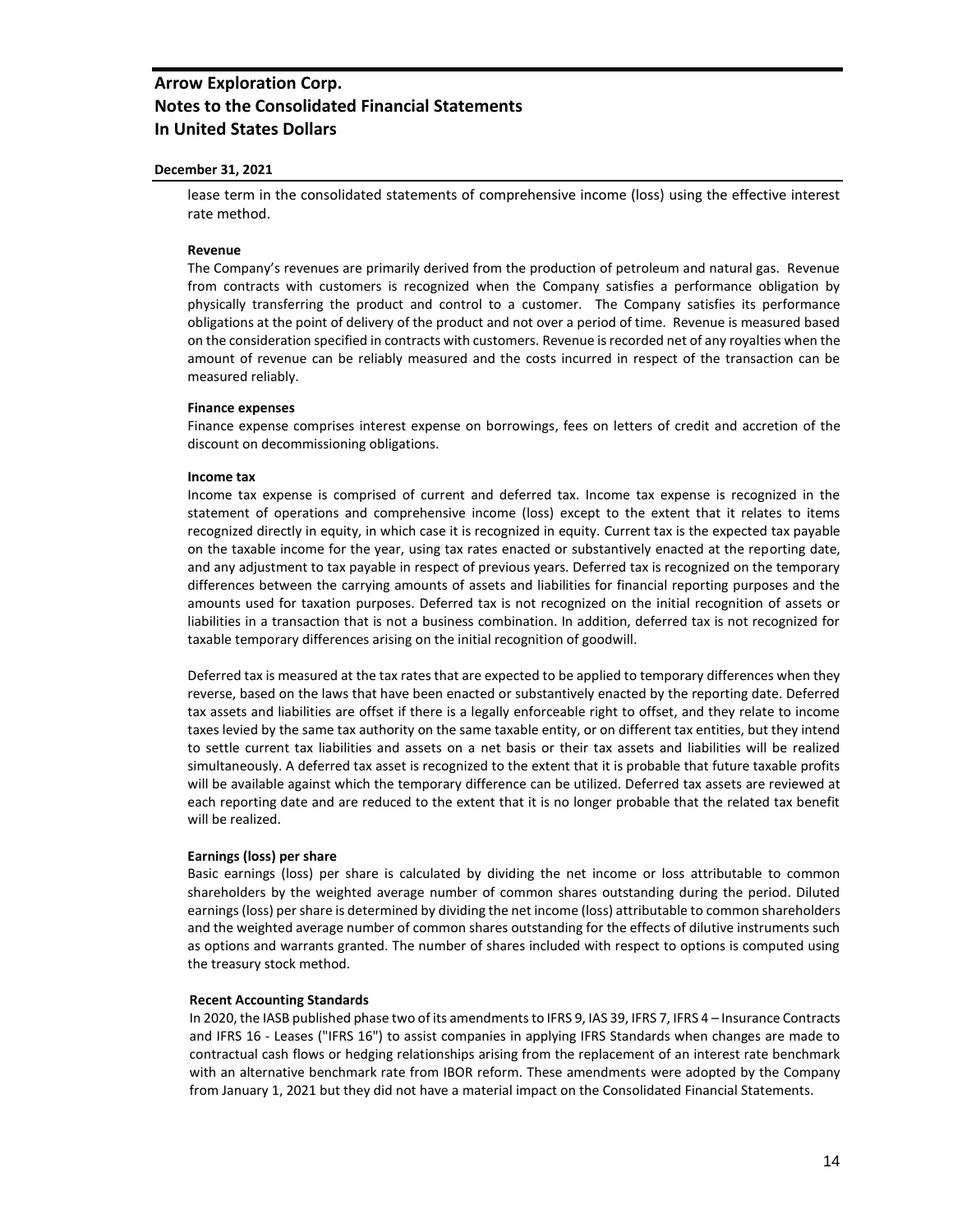### **December 31, 2021**

lease term in the consolidated statements of comprehensive income (loss) using the effective interest rate method.

### **Revenue**

The Company's revenues are primarily derived from the production of petroleum and natural gas. Revenue from contracts with customers is recognized when the Company satisfies a performance obligation by physically transferring the product and control to a customer. The Company satisfies its performance obligations at the point of delivery of the product and not over a period of time. Revenue is measured based on the consideration specified in contracts with customers. Revenue is recorded net of any royalties when the amount of revenue can be reliably measured and the costs incurred in respect of the transaction can be measured reliably.

### **Finance expenses**

Finance expense comprises interest expense on borrowings, fees on letters of credit and accretion of the discount on decommissioning obligations.

### **Income tax**

Income tax expense is comprised of current and deferred tax. Income tax expense is recognized in the statement of operations and comprehensive income (loss) except to the extent that it relates to items recognized directly in equity, in which case it is recognized in equity. Current tax is the expected tax payable on the taxable income for the year, using tax rates enacted or substantively enacted at the reporting date, and any adjustment to tax payable in respect of previous years. Deferred tax is recognized on the temporary differences between the carrying amounts of assets and liabilities for financial reporting purposes and the amounts used for taxation purposes. Deferred tax is not recognized on the initial recognition of assets or liabilities in a transaction that is not a business combination. In addition, deferred tax is not recognized for taxable temporary differences arising on the initial recognition of goodwill.

Deferred tax is measured at the tax rates that are expected to be applied to temporary differences when they reverse, based on the laws that have been enacted or substantively enacted by the reporting date. Deferred tax assets and liabilities are offset if there is a legally enforceable right to offset, and they relate to income taxes levied by the same tax authority on the same taxable entity, or on different tax entities, but they intend to settle current tax liabilities and assets on a net basis or their tax assets and liabilities will be realized simultaneously. A deferred tax asset is recognized to the extent that it is probable that future taxable profits will be available against which the temporary difference can be utilized. Deferred tax assets are reviewed at each reporting date and are reduced to the extent that it is no longer probable that the related tax benefit will be realized.

### **Earnings (loss) per share**

Basic earnings (loss) per share is calculated by dividing the net income or loss attributable to common shareholders by the weighted average number of common shares outstanding during the period. Diluted earnings (loss) per share is determined by dividing the net income (loss) attributable to common shareholders and the weighted average number of common shares outstanding for the effects of dilutive instruments such as options and warrants granted. The number of shares included with respect to options is computed using the treasury stock method.

### **Recent Accounting Standards**

In 2020, the IASB published phase two of its amendments to IFRS 9, IAS 39, IFRS 7, IFRS 4 – Insurance Contracts and IFRS 16 - Leases ("IFRS 16") to assist companies in applying IFRS Standards when changes are made to contractual cash flows or hedging relationships arising from the replacement of an interest rate benchmark with an alternative benchmark rate from IBOR reform. These amendments were adopted by the Company from January 1, 2021 but they did not have a material impact on the Consolidated Financial Statements.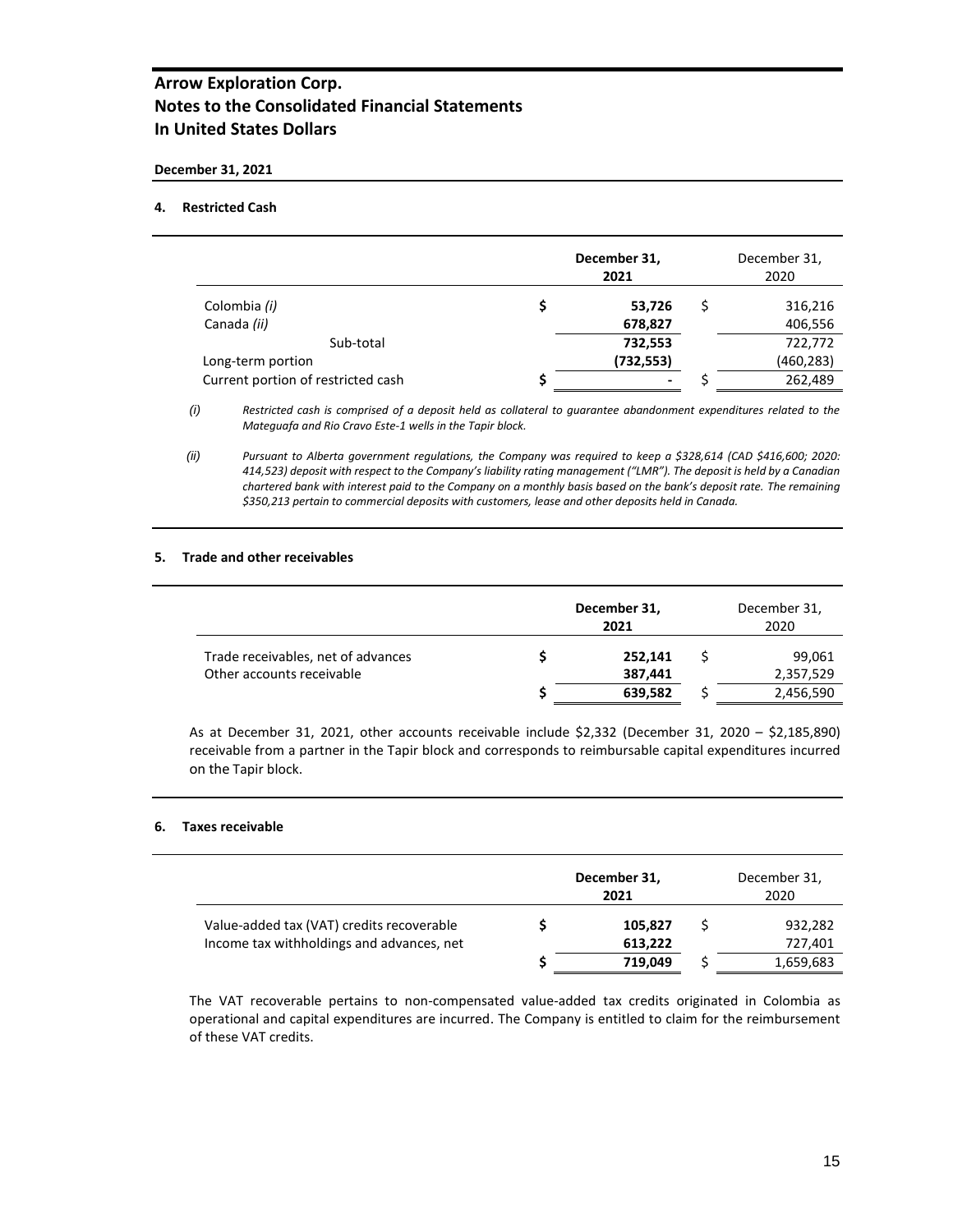### **December 31, 2021**

### **4. Restricted Cash**

|                                    | December 31,<br>2021     | December 31,<br>2020 |
|------------------------------------|--------------------------|----------------------|
| Colombia (i)                       | 53,726                   | 316,216              |
| Canada (ii)                        | 678,827                  | 406,556              |
| Sub-total                          | 732,553                  | 722,772              |
| Long-term portion                  | (732, 553)               | (460,283)            |
| Current portion of restricted cash | $\overline{\phantom{0}}$ | 262,489              |

*(i) Restricted cash is comprised of a deposit held as collateral to guarantee abandonment expenditures related to the Mateguafa and Rio Cravo Este-1 wells in the Tapir block.*

*(ii) Pursuant to Alberta government regulations, the Company was required to keep a \$328,614 (CAD \$416,600; 2020: 414,523) deposit with respect to the Company's liability rating management ("LMR"). The deposit is held by a Canadian chartered bank with interest paid to the Company on a monthly basis based on the bank's deposit rate. The remaining \$350,213 pertain to commercial deposits with customers, lease and other deposits held in Canada.*

### **5. Trade and other receivables**

|                                    | December 31,<br>2021 | December 31,<br>2020 |
|------------------------------------|----------------------|----------------------|
| Trade receivables, net of advances | 252.141              | 99,061               |
| Other accounts receivable          | 387,441              | 2,357,529            |
|                                    | 639,582              | 2,456,590            |

As at December 31, 2021, other accounts receivable include \$2,332 (December 31, 2020 – \$2,185,890) receivable from a partner in the Tapir block and corresponds to reimbursable capital expenditures incurred on the Tapir block.

### **6. Taxes receivable**

|                                                                                        | December 31,<br>2021 | December 31,<br>2020 |
|----------------------------------------------------------------------------------------|----------------------|----------------------|
| Value-added tax (VAT) credits recoverable<br>Income tax withholdings and advances, net | 105,827<br>613,222   | 932,282<br>727,401   |
|                                                                                        | 719,049              | 1,659,683            |

The VAT recoverable pertains to non-compensated value-added tax credits originated in Colombia as operational and capital expenditures are incurred. The Company is entitled to claim for the reimbursement of these VAT credits.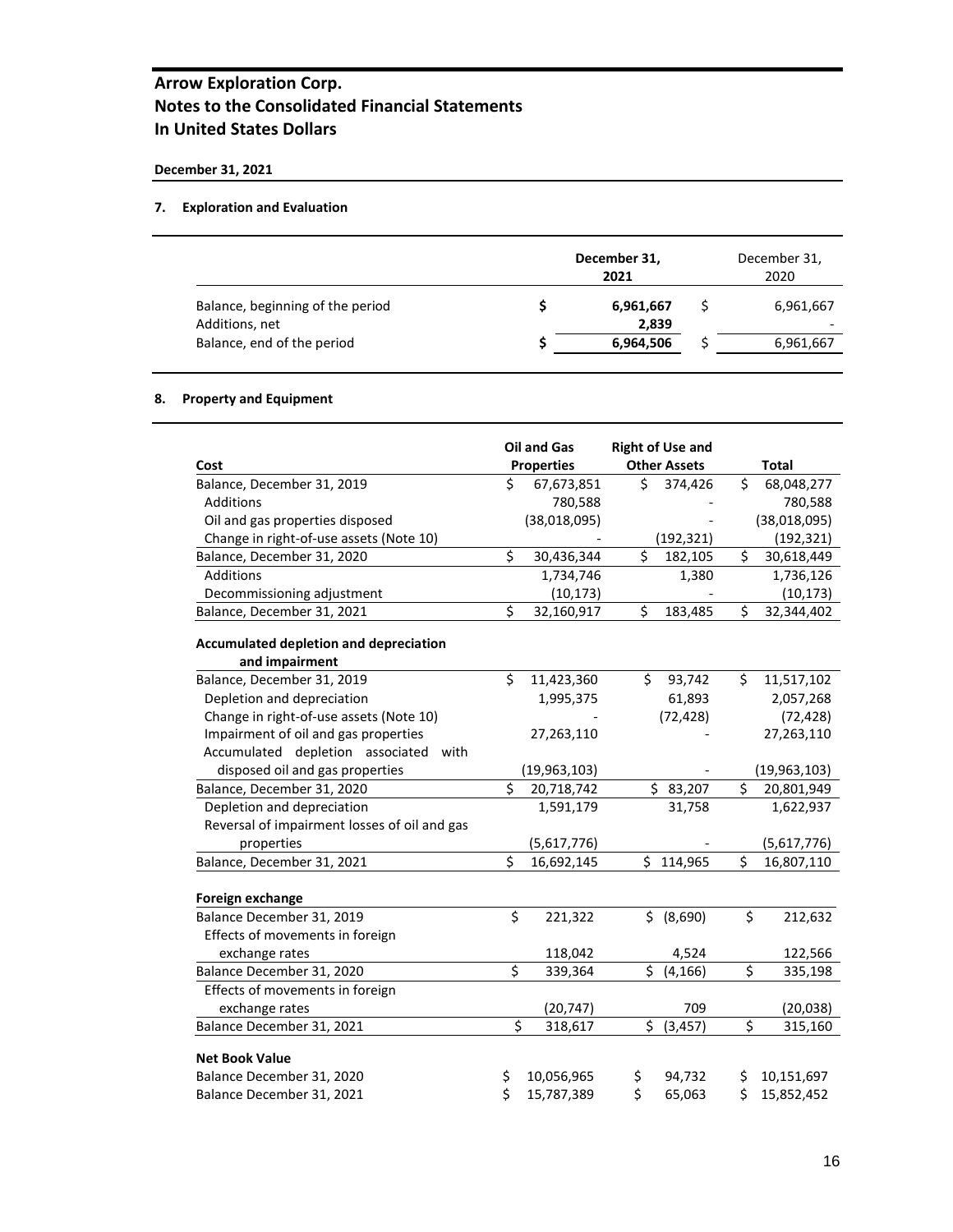### **December 31, 2021**

### **7. Exploration and Evaluation**

|                                  | December 31,<br>2021 | December 31,<br>2020 |
|----------------------------------|----------------------|----------------------|
| Balance, beginning of the period | 6,961,667            | 6,961,667            |
| Additions, net                   | 2,839                |                      |
| Balance, end of the period       | 6,964,506            | 6,961,667            |

### **8. Property and Equipment**

|                                               | Oil and Gas             |                   | <b>Right of Use and</b> |                     |    |              |
|-----------------------------------------------|-------------------------|-------------------|-------------------------|---------------------|----|--------------|
| Cost                                          |                         | <b>Properties</b> |                         | <b>Other Assets</b> |    | <b>Total</b> |
| Balance, December 31, 2019                    | \$                      | 67,673,851        | \$                      | 374,426             | \$ | 68,048,277   |
| <b>Additions</b>                              |                         | 780,588           |                         |                     |    | 780,588      |
| Oil and gas properties disposed               |                         | (38,018,095)      |                         |                     |    | (38,018,095) |
| Change in right-of-use assets (Note 10)       |                         |                   |                         | (192, 321)          |    | (192, 321)   |
| Balance, December 31, 2020                    | Ś                       | 30,436,344        | \$                      | 182,105             | Ś  | 30,618,449   |
| <b>Additions</b>                              |                         | 1,734,746         |                         | 1,380               |    | 1,736,126    |
| Decommissioning adjustment                    |                         | (10, 173)         |                         |                     |    | (10, 173)    |
| Balance, December 31, 2021                    | \$                      | 32,160,917        | \$                      | 183,485             | \$ | 32,344,402   |
| <b>Accumulated depletion and depreciation</b> |                         |                   |                         |                     |    |              |
| and impairment                                |                         |                   |                         |                     |    |              |
| Balance, December 31, 2019                    | \$                      | 11,423,360        | \$                      | 93,742              | \$ | 11,517,102   |
| Depletion and depreciation                    |                         | 1,995,375         |                         | 61,893              |    | 2,057,268    |
| Change in right-of-use assets (Note 10)       |                         |                   |                         | (72, 428)           |    | (72, 428)    |
| Impairment of oil and gas properties          |                         | 27,263,110        |                         |                     |    | 27,263,110   |
| Accumulated depletion associated<br>with      |                         |                   |                         |                     |    |              |
| disposed oil and gas properties               |                         | (19,963,103)      |                         |                     |    | (19,963,103) |
| Balance, December 31, 2020                    | Ś                       | 20,718,742        |                         | \$83,207            | \$ | 20,801,949   |
| Depletion and depreciation                    |                         | 1,591,179         |                         | 31,758              |    | 1,622,937    |
| Reversal of impairment losses of oil and gas  |                         |                   |                         |                     |    |              |
| properties                                    |                         | (5,617,776)       |                         |                     |    | (5,617,776)  |
| Balance, December 31, 2021                    | Ś                       | 16,692,145        | \$                      | 114,965             | Ś  | 16,807,110   |
| Foreign exchange                              |                         |                   |                         |                     |    |              |
| Balance December 31, 2019                     | $\overline{\mathsf{S}}$ | 221,322           |                         | \$ (8,690)          | \$ | 212,632      |
| Effects of movements in foreign               |                         |                   |                         |                     |    |              |
| exchange rates                                |                         | 118,042           |                         | 4,524               |    | 122,566      |
| Balance December 31, 2020                     | \$                      | 339,364           | \$                      | (4, 166)            | \$ | 335,198      |
| Effects of movements in foreign               |                         |                   |                         |                     |    |              |
| exchange rates                                |                         | (20,747)          |                         | 709                 |    | (20, 038)    |
| Balance December 31, 2021                     | \$                      | 318,617           | \$                      | (3, 457)            | \$ | 315,160      |
| <b>Net Book Value</b>                         |                         |                   |                         |                     |    |              |
| Balance December 31, 2020                     | \$                      | 10,056,965        | \$                      | 94,732              | \$ | 10,151,697   |
| Balance December 31, 2021                     | \$                      | 15,787,389        | \$                      | 65,063              | \$ | 15,852,452   |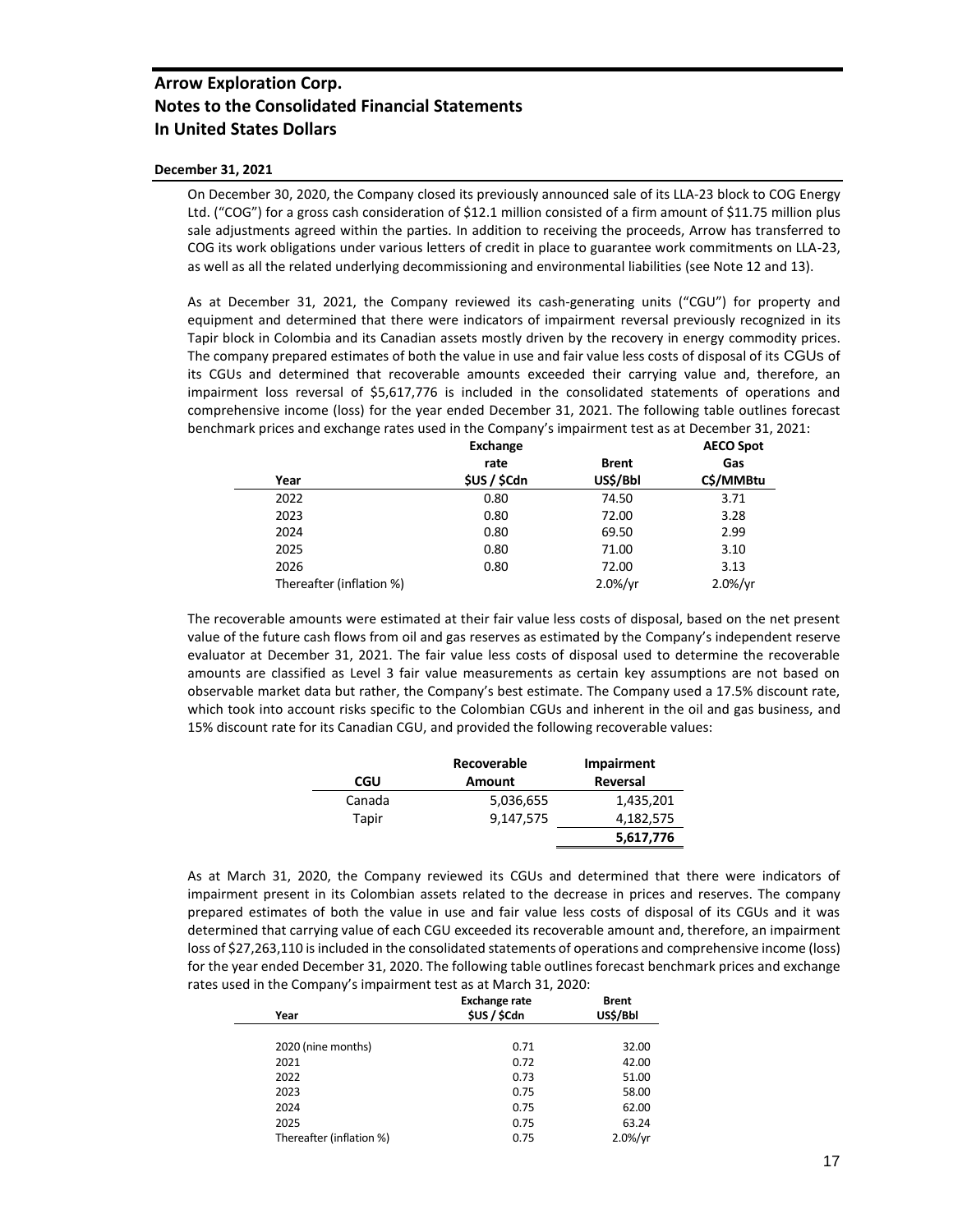### **December 31, 2021**

On December 30, 2020, the Company closed its previously announced sale of its LLA-23 block to COG Energy Ltd. ("COG") for a gross cash consideration of \$12.1 million consisted of a firm amount of \$11.75 million plus sale adjustments agreed within the parties. In addition to receiving the proceeds, Arrow has transferred to COG its work obligations under various letters of credit in place to guarantee work commitments on LLA-23, as well as all the related underlying decommissioning and environmental liabilities (see Note 12 and 13).

As at December 31, 2021, the Company reviewed its cash-generating units ("CGU") for property and equipment and determined that there were indicators of impairment reversal previously recognized in its Tapir block in Colombia and its Canadian assets mostly driven by the recovery in energy commodity prices. The company prepared estimates of both the value in use and fair value less costs of disposal of its CGUs of its CGUs and determined that recoverable amounts exceeded their carrying value and, therefore, an impairment loss reversal of \$5,617,776 is included in the consolidated statements of operations and comprehensive income (loss) for the year ended December 31, 2021. The following table outlines forecast benchmark prices and exchange rates used in the Company's impairment test as at December 31, 2021:

|                          | Exchange     |              | <b>AECO Spot</b> |
|--------------------------|--------------|--------------|------------------|
|                          | rate         | <b>Brent</b> | Gas              |
| Year                     | \$US / \$Cdn | US\$/Bbl     | C\$/MMBtu        |
| 2022                     | 0.80         | 74.50        | 3.71             |
| 2023                     | 0.80         | 72.00        | 3.28             |
| 2024                     | 0.80         | 69.50        | 2.99             |
| 2025                     | 0.80         | 71.00        | 3.10             |
| 2026                     | 0.80         | 72.00        | 3.13             |
| Thereafter (inflation %) |              | 2.0%/vr      | $2.0\%/yr$       |

The recoverable amounts were estimated at their fair value less costs of disposal, based on the net present value of the future cash flows from oil and gas reserves as estimated by the Company's independent reserve evaluator at December 31, 2021. The fair value less costs of disposal used to determine the recoverable amounts are classified as Level 3 fair value measurements as certain key assumptions are not based on observable market data but rather, the Company's best estimate. The Company used a 17.5% discount rate, which took into account risks specific to the Colombian CGUs and inherent in the oil and gas business, and 15% discount rate for its Canadian CGU, and provided the following recoverable values:

|            | Recoverable   | <b>Impairment</b> |
|------------|---------------|-------------------|
| <b>CGU</b> | <b>Amount</b> | Reversal          |
| Canada     | 5,036,655     | 1,435,201         |
| Tapir      | 9,147,575     | 4,182,575         |
|            |               | 5,617,776         |

As at March 31, 2020, the Company reviewed its CGUs and determined that there were indicators of impairment present in its Colombian assets related to the decrease in prices and reserves. The company prepared estimates of both the value in use and fair value less costs of disposal of its CGUs and it was determined that carrying value of each CGU exceeded its recoverable amount and, therefore, an impairment loss of \$27,263,110 is included in the consolidated statements of operations and comprehensive income (loss) for the year ended December 31, 2020. The following table outlines forecast benchmark prices and exchange rates used in the Company's impairment test as at March 31, 2020:

| Year |                          | <b>Exchange rate</b><br><b>SUS / SCdn</b> | <b>Brent</b><br>US\$/Bbl |
|------|--------------------------|-------------------------------------------|--------------------------|
|      |                          |                                           |                          |
|      | 2020 (nine months)       | 0.71                                      | 32.00                    |
|      | 2021                     | 0.72                                      | 42.00                    |
|      | 2022                     | 0.73                                      | 51.00                    |
|      | 2023                     | 0.75                                      | 58.00                    |
|      | 2024                     | 0.75                                      | 62.00                    |
|      | 2025                     | 0.75                                      | 63.24                    |
|      | Thereafter (inflation %) | 0.75                                      | $2.0\%/yr$               |
|      |                          |                                           |                          |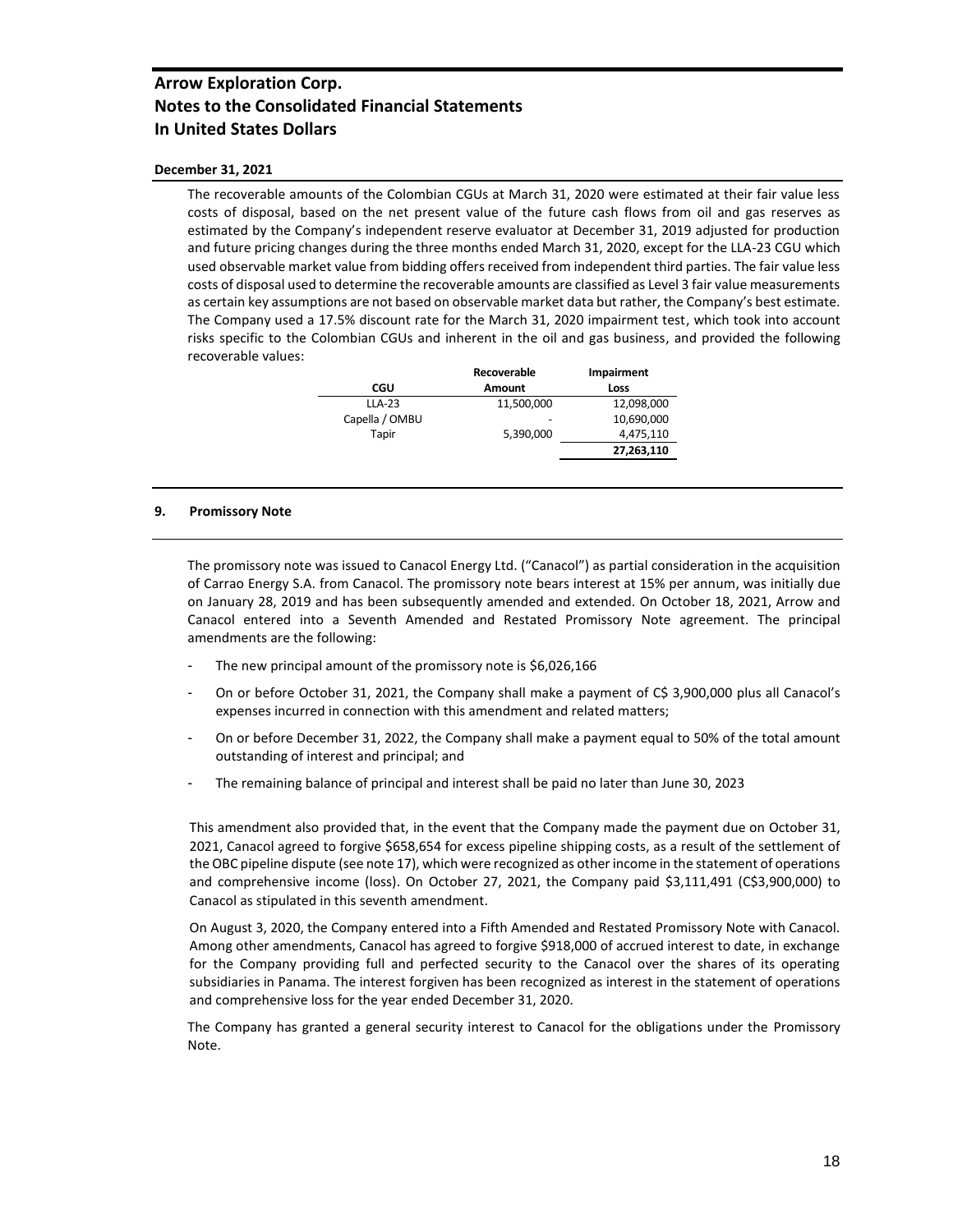### **December 31, 2021**

The recoverable amounts of the Colombian CGUs at March 31, 2020 were estimated at their fair value less costs of disposal, based on the net present value of the future cash flows from oil and gas reserves as estimated by the Company's independent reserve evaluator at December 31, 2019 adjusted for production and future pricing changes during the three months ended March 31, 2020, except for the LLA-23 CGU which used observable market value from bidding offers received from independent third parties. The fair value less costs of disposal used to determine the recoverable amounts are classified as Level 3 fair value measurements as certain key assumptions are not based on observable market data but rather, the Company's best estimate. The Company used a 17.5% discount rate for the March 31, 2020 impairment test, which took into account risks specific to the Colombian CGUs and inherent in the oil and gas business, and provided the following recoverable values:

|                | Recoverable | <b>Impairment</b> |
|----------------|-------------|-------------------|
| CGU            | Amount      | Loss              |
| $LLA-23$       | 11,500,000  | 12,098,000        |
| Capella / OMBU |             | 10,690,000        |
| Tapir          | 5,390,000   | 4,475,110         |
|                |             | 27,263,110        |
|                |             |                   |

### **9. Promissory Note**

The promissory note was issued to Canacol Energy Ltd. ("Canacol") as partial consideration in the acquisition of Carrao Energy S.A. from Canacol. The promissory note bears interest at 15% per annum, was initially due on January 28, 2019 and has been subsequently amended and extended. On October 18, 2021, Arrow and Canacol entered into a Seventh Amended and Restated Promissory Note agreement. The principal amendments are the following:

- The new principal amount of the promissory note is \$6,026,166
- On or before October 31, 2021, the Company shall make a payment of C\$ 3,900,000 plus all Canacol's expenses incurred in connection with this amendment and related matters;
- On or before December 31, 2022, the Company shall make a payment equal to 50% of the total amount outstanding of interest and principal; and
- The remaining balance of principal and interest shall be paid no later than June 30, 2023

This amendment also provided that, in the event that the Company made the payment due on October 31, 2021, Canacol agreed to forgive \$658,654 for excess pipeline shipping costs, as a result of the settlement of the OBC pipeline dispute (see note 17), which were recognized as other income in the statement of operations and comprehensive income (loss). On October 27, 2021, the Company paid \$3,111,491 (C\$3,900,000) to Canacol as stipulated in this seventh amendment.

On August 3, 2020, the Company entered into a Fifth Amended and Restated Promissory Note with Canacol. Among other amendments, Canacol has agreed to forgive \$918,000 of accrued interest to date, in exchange for the Company providing full and perfected security to the Canacol over the shares of its operating subsidiaries in Panama. The interest forgiven has been recognized as interest in the statement of operations and comprehensive loss for the year ended December 31, 2020.

The Company has granted a general security interest to Canacol for the obligations under the Promissory Note.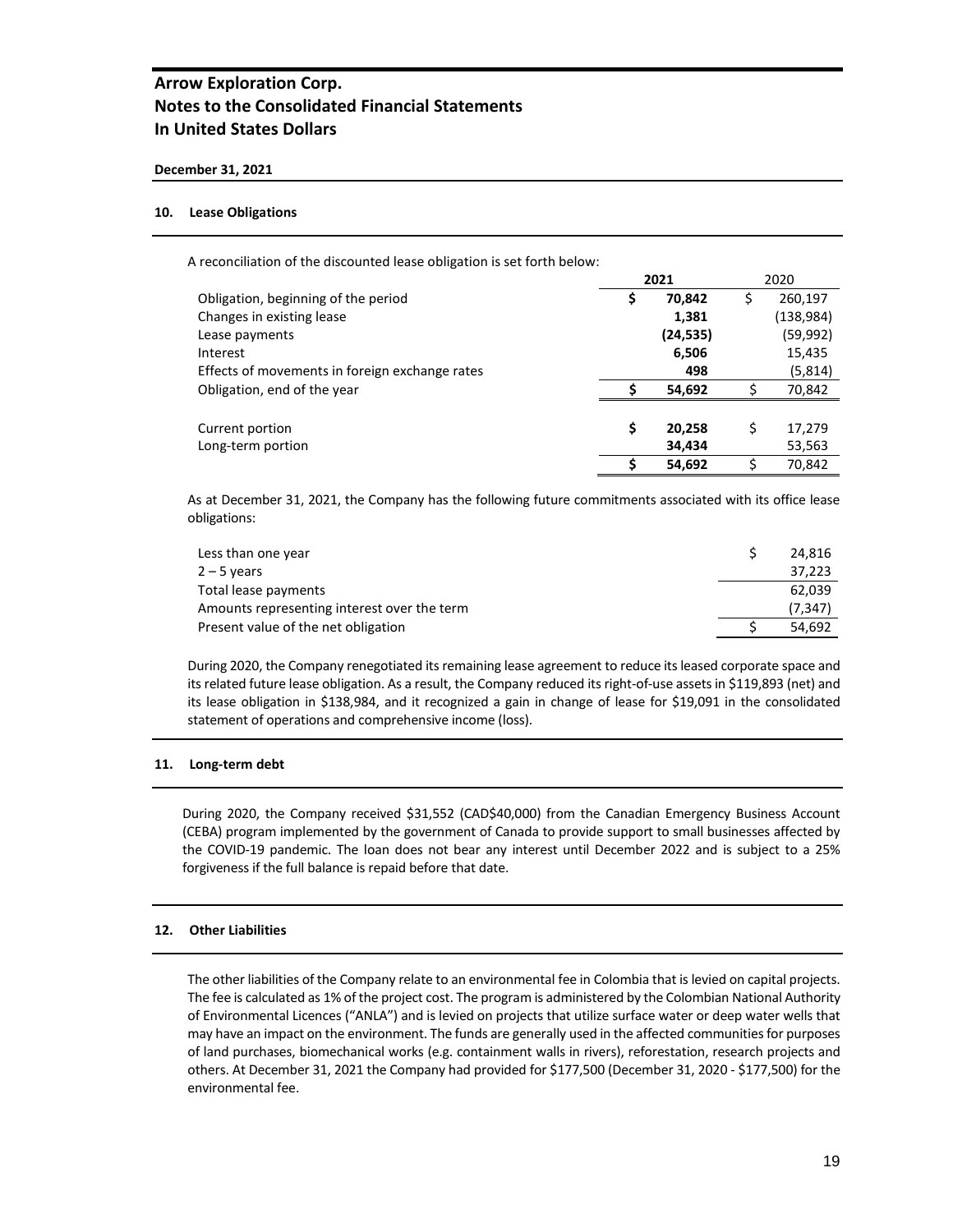### **December 31, 2021**

### **10. Lease Obligations**

A reconciliation of the discounted lease obligation is set forth below:

|                                                |    | 2021     |    | 2020      |
|------------------------------------------------|----|----------|----|-----------|
| Obligation, beginning of the period            | \$ | 70,842   | \$ | 260,197   |
| Changes in existing lease                      |    | 1,381    |    | (138,984) |
| Lease payments                                 |    | (24,535) |    | (59,992)  |
| Interest                                       |    | 6,506    |    | 15,435    |
| Effects of movements in foreign exchange rates |    | 498      |    | (5, 814)  |
| Obligation, end of the year                    | Ś  | 54,692   | Ś  | 70,842    |
|                                                |    |          |    |           |
| Current portion                                | \$ | 20,258   | \$ | 17,279    |
| Long-term portion                              |    | 34,434   |    | 53,563    |
|                                                | S  | 54.692   | S  | 70,842    |

As at December 31, 2021, the Company has the following future commitments associated with its office lease obligations:

| Less than one year                          | 24.816  |
|---------------------------------------------|---------|
| $2 - 5$ years                               | 37.223  |
| Total lease payments                        | 62.039  |
| Amounts representing interest over the term | (7,347) |
| Present value of the net obligation         | 54.692  |

During 2020, the Company renegotiated its remaining lease agreement to reduce its leased corporate space and its related future lease obligation. As a result, the Company reduced its right-of-use assets in \$119,893 (net) and its lease obligation in \$138,984, and it recognized a gain in change of lease for \$19,091 in the consolidated statement of operations and comprehensive income (loss).

### **11. Long-term debt**

During 2020, the Company received \$31,552 (CAD\$40,000) from the Canadian Emergency Business Account (CEBA) program implemented by the government of Canada to provide support to small businesses affected by the COVID-19 pandemic. The loan does not bear any interest until December 2022 and is subject to a 25% forgiveness if the full balance is repaid before that date.

### **12. Other Liabilities**

The other liabilities of the Company relate to an environmental fee in Colombia that is levied on capital projects. The fee is calculated as 1% of the project cost. The program is administered by the Colombian National Authority of Environmental Licences ("ANLA") and is levied on projects that utilize surface water or deep water wells that may have an impact on the environment. The funds are generally used in the affected communities for purposes of land purchases, biomechanical works (e.g. containment walls in rivers), reforestation, research projects and others. At December 31, 2021 the Company had provided for \$177,500 (December 31, 2020 - \$177,500) for the environmental fee.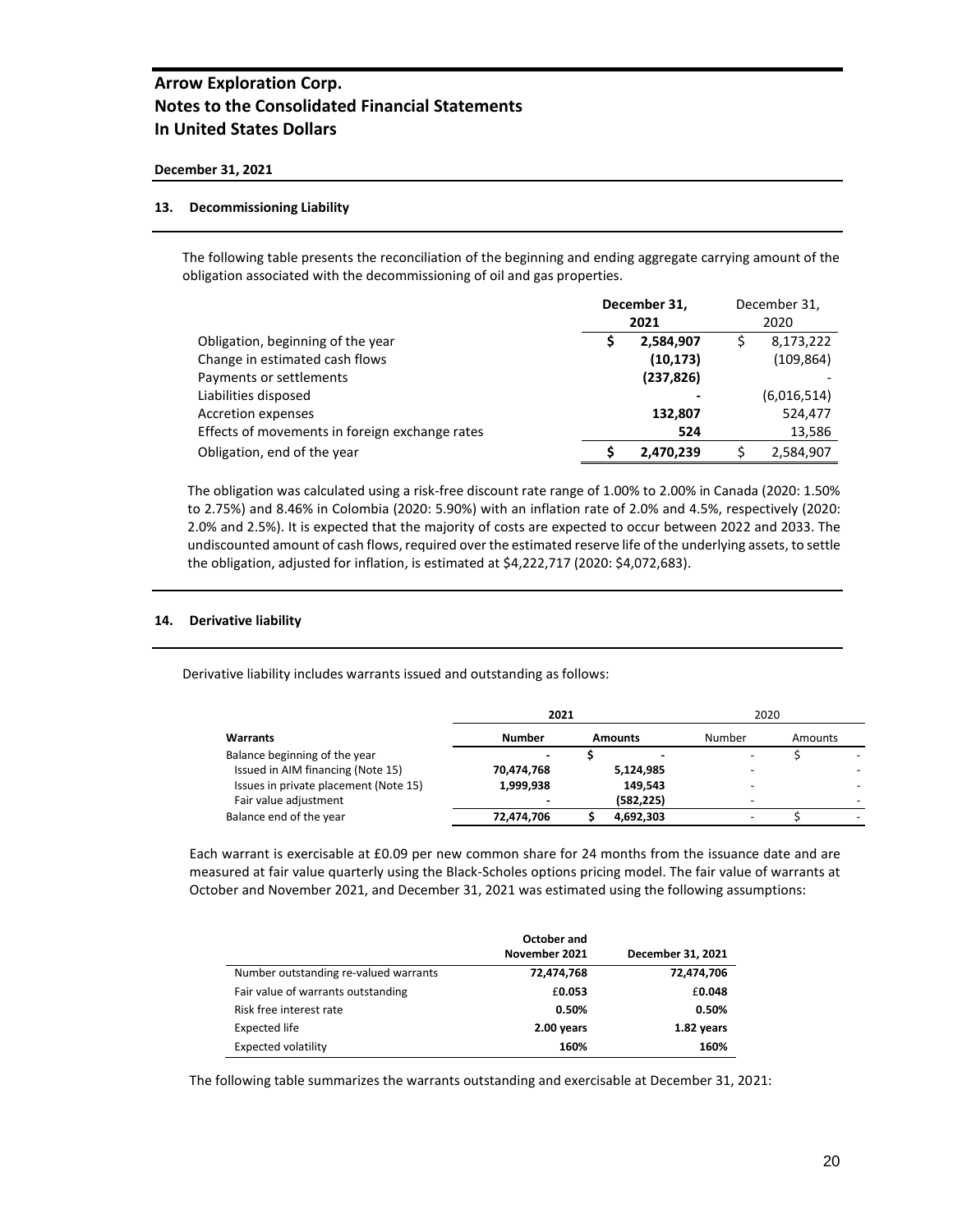### **December 31, 2021**

### **13. Decommissioning Liability**

The following table presents the reconciliation of the beginning and ending aggregate carrying amount of the obligation associated with the decommissioning of oil and gas properties.

|                                                | December 31, |                | December 31, |             |
|------------------------------------------------|--------------|----------------|--------------|-------------|
|                                                | 2021         |                | 2020         |             |
| Obligation, beginning of the year              | S            | 2,584,907      |              | 8,173,222   |
| Change in estimated cash flows                 | (10, 173)    |                |              | (109, 864)  |
| Payments or settlements                        | (237, 826)   |                |              |             |
| Liabilities disposed                           |              | $\blacksquare$ |              | (6,016,514) |
| <b>Accretion expenses</b>                      |              | 132,807        |              | 524,477     |
| Effects of movements in foreign exchange rates |              | 524            |              | 13,586      |
| Obligation, end of the year                    |              | 2,470,239      |              | 2,584,907   |

The obligation was calculated using a risk-free discount rate range of 1.00% to 2.00% in Canada (2020: 1.50% to 2.75%) and 8.46% in Colombia (2020: 5.90%) with an inflation rate of 2.0% and 4.5%, respectively (2020: 2.0% and 2.5%). It is expected that the majority of costs are expected to occur between 2022 and 2033. The undiscounted amount of cash flows, required over the estimated reserve life of the underlying assets, to settle the obligation, adjusted for inflation, is estimated at \$4,222,717 (2020: \$4,072,683).

### **14. Derivative liability**

Derivative liability includes warrants issued and outstanding as follows:

|                                       | 2021          | 2020           |        |         |  |
|---------------------------------------|---------------|----------------|--------|---------|--|
| Warrants                              | <b>Number</b> | <b>Amounts</b> | Number | Amounts |  |
| Balance beginning of the year         | ٠             | -              |        |         |  |
| Issued in AIM financing (Note 15)     | 70.474.768    | 5,124,985      |        |         |  |
| Issues in private placement (Note 15) | 1.999.938     | 149.543        |        |         |  |
| Fair value adjustment                 |               | (582, 225)     |        |         |  |
| Balance end of the year               | 72.474.706    | 4,692,303      |        |         |  |

Each warrant is exercisable at £0.09 per new common share for 24 months from the issuance date and are measured at fair value quarterly using the Black-Scholes options pricing model. The fair value of warrants at October and November 2021, and December 31, 2021 was estimated using the following assumptions:

|                                       | October and<br>November 2021 | December 31, 2021 |
|---------------------------------------|------------------------------|-------------------|
| Number outstanding re-valued warrants | 72,474,768                   | 72,474,706        |
| Fair value of warrants outstanding    | £0.053                       | £0.048            |
| Risk free interest rate               | 0.50%                        | 0.50%             |
| <b>Expected life</b>                  | 2.00 years                   | 1.82 years        |
| <b>Expected volatility</b>            | 160%                         | 160%              |

The following table summarizes the warrants outstanding and exercisable at December 31, 2021: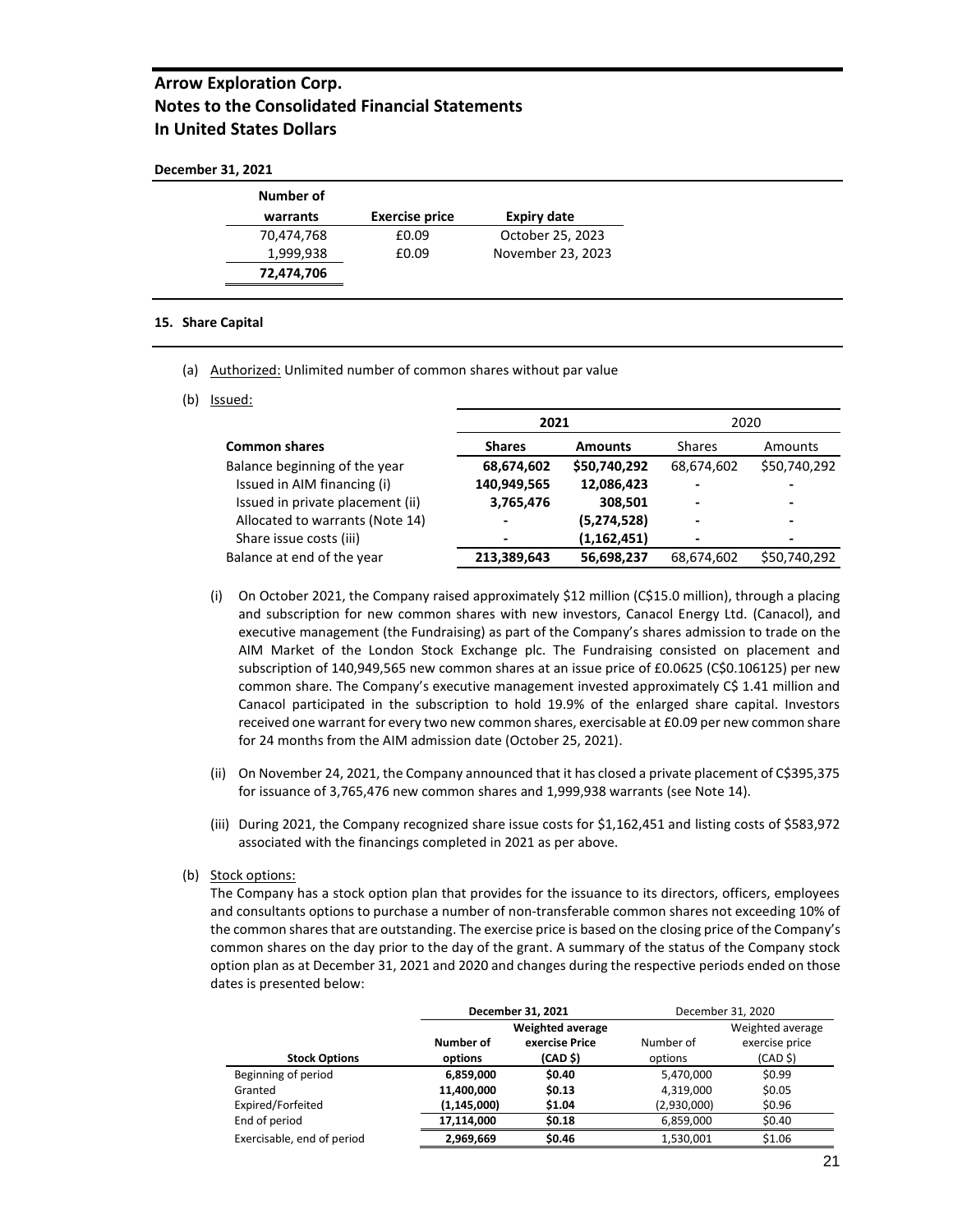| Number of                                        |
|--------------------------------------------------|
| Expiry date<br><b>Exercise price</b><br>warrants |
| October 25, 2023<br>£0.09<br>70,474,768          |
| November 23, 2023<br>1,999,938<br>£0.09          |
| 72,474,706                                       |

### **15. Share Capital**

(a) Authorized: Unlimited number of common shares without par value

(b) Issued:

|                                  | 2021                     |                | 2020                     |              |
|----------------------------------|--------------------------|----------------|--------------------------|--------------|
| <b>Common shares</b>             | <b>Shares</b>            | <b>Amounts</b> | <b>Shares</b>            | Amounts      |
| Balance beginning of the year    | 68,674,602               | \$50,740,292   | 68,674,602               | \$50,740,292 |
| Issued in AIM financing (i)      | 140,949,565              | 12,086,423     | -                        |              |
| Issued in private placement (ii) | 3,765,476                | 308,501        | $\overline{\phantom{0}}$ |              |
| Allocated to warrants (Note 14)  | $\overline{\phantom{0}}$ | (5,274,528)    | -                        |              |
| Share issue costs (iii)          | $\overline{\phantom{0}}$ | (1, 162, 451)  | ۰                        |              |
| Balance at end of the year       | 213,389,643              | 56,698,237     | 68,674,602               | \$50,740,292 |

- (i) On October 2021, the Company raised approximately \$12 million (C\$15.0 million), through a placing and subscription for new common shares with new investors, Canacol Energy Ltd. (Canacol), and executive management (the Fundraising) as part of the Company's shares admission to trade on the AIM Market of the London Stock Exchange plc. The Fundraising consisted on placement and subscription of 140,949,565 new common shares at an issue price of £0.0625 (C\$0.106125) per new common share. The Company's executive management invested approximately C\$ 1.41 million and Canacol participated in the subscription to hold 19.9% of the enlarged share capital. Investors received one warrant for every two new common shares, exercisable at £0.09 per new common share for 24 months from the AIM admission date (October 25, 2021).
- (ii) On November 24, 2021, the Company announced that it has closed a private placement of C\$395,375 for issuance of 3,765,476 new common shares and 1,999,938 warrants (see Note 14).
- (iii) During 2021, the Company recognized share issue costs for \$1,162,451 and listing costs of \$583,972 associated with the financings completed in 2021 as per above.
- (b) Stock options:

The Company has a stock option plan that provides for the issuance to its directors, officers, employees and consultants options to purchase a number of non-transferable common shares not exceeding 10% of the common shares that are outstanding. The exercise price is based on the closing price of the Company's common shares on the day prior to the day of the grant. A summary of the status of the Company stock option plan as at December 31, 2021 and 2020 and changes during the respective periods ended on those dates is presented below:

|                            | December 31, 2021 |                         |             | December 31, 2020   |
|----------------------------|-------------------|-------------------------|-------------|---------------------|
|                            |                   | <b>Weighted average</b> |             | Weighted average    |
|                            | Number of         | exercise Price          | Number of   | exercise price      |
| <b>Stock Options</b>       | options           | (CAD <sub>5</sub> )     | options     | (CAD <sub>5</sub> ) |
| Beginning of period        | 6,859,000         | \$0.40                  | 5,470,000   | \$0.99              |
| Granted                    | 11,400,000        | \$0.13                  | 4,319,000   | \$0.05              |
| Expired/Forfeited          | (1, 145, 000)     | \$1.04                  | (2,930,000) | \$0.96              |
| End of period              | 17,114,000        | \$0.18                  | 6,859,000   | \$0.40              |
| Exercisable, end of period | 2,969,669         | \$0.46                  | 1,530,001   | \$1.06              |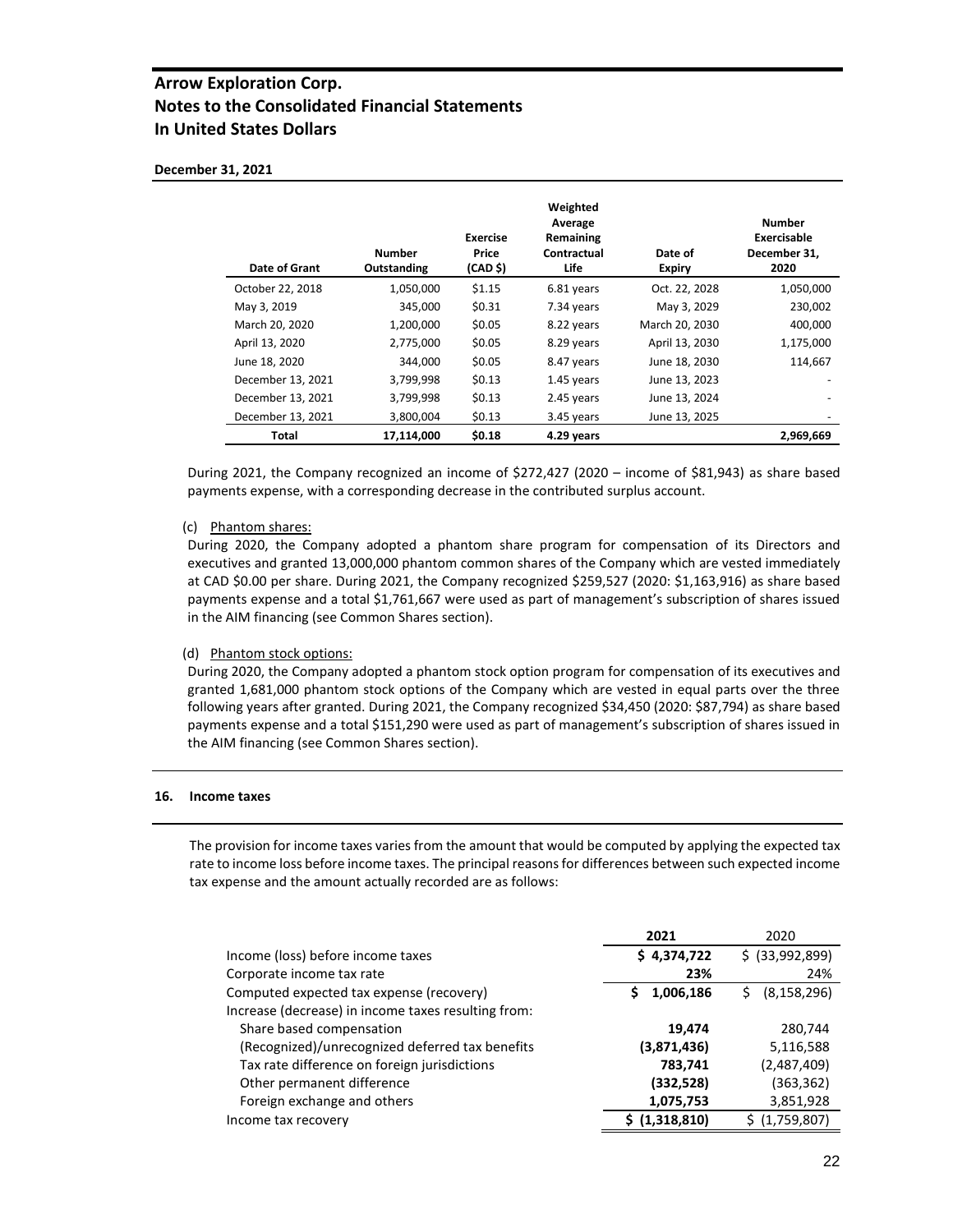### **December 31, 2021**

| Date of Grant     | Number<br>Outstanding | <b>Exercise</b><br>Price<br>(CAD <sub>5</sub> ) | Weighted<br>Average<br>Remaining<br>Contractual<br><b>Life</b> | Date of<br><b>Expiry</b> | <b>Number</b><br>Exercisable<br>December 31,<br>2020 |
|-------------------|-----------------------|-------------------------------------------------|----------------------------------------------------------------|--------------------------|------------------------------------------------------|
| October 22, 2018  | 1,050,000             | \$1.15                                          | 6.81 years                                                     | Oct. 22, 2028            | 1,050,000                                            |
| May 3, 2019       | 345,000               | \$0.31                                          | 7.34 years                                                     | May 3, 2029              | 230,002                                              |
| March 20, 2020    | 1,200,000             | \$0.05                                          | 8.22 years                                                     | March 20, 2030           | 400,000                                              |
| April 13, 2020    | 2,775,000             | \$0.05                                          | 8.29 years                                                     | April 13, 2030           | 1,175,000                                            |
| June 18, 2020     | 344.000               | \$0.05                                          | 8.47 years                                                     | June 18, 2030            | 114,667                                              |
| December 13, 2021 | 3,799,998             | \$0.13                                          | 1.45 years                                                     | June 13, 2023            |                                                      |
| December 13, 2021 | 3.799.998             | \$0.13                                          | 2.45 years                                                     | June 13, 2024            |                                                      |
| December 13, 2021 | 3,800,004             | \$0.13                                          | 3.45 years                                                     | June 13, 2025            |                                                      |
| Total             | 17,114,000            | \$0.18                                          | 4.29 years                                                     |                          | 2,969,669                                            |

During 2021, the Company recognized an income of \$272,427 (2020 – income of \$81,943) as share based payments expense, with a corresponding decrease in the contributed surplus account.

### (c) Phantom shares:

During 2020, the Company adopted a phantom share program for compensation of its Directors and executives and granted 13,000,000 phantom common shares of the Company which are vested immediately at CAD \$0.00 per share. During 2021, the Company recognized \$259,527 (2020: \$1,163,916) as share based payments expense and a total \$1,761,667 were used as part of management's subscription of shares issued in the AIM financing (see Common Shares section).

### (d) Phantom stock options:

During 2020, the Company adopted a phantom stock option program for compensation of its executives and granted 1,681,000 phantom stock options of the Company which are vested in equal parts over the three following years after granted. During 2021, the Company recognized \$34,450 (2020: \$87,794) as share based payments expense and a total \$151,290 were used as part of management's subscription of shares issued in the AIM financing (see Common Shares section).

### **16. Income taxes**

The provision for income taxes varies from the amount that would be computed by applying the expected tax rate to income loss before income taxes. The principal reasons for differences between such expected income tax expense and the amount actually recorded are as follows:

|                                                     | 2021           | 2020               |
|-----------------------------------------------------|----------------|--------------------|
| Income (loss) before income taxes                   | \$4,374,722    | $$$ (33,992,899)   |
| Corporate income tax rate                           | 23%            | 24%                |
| Computed expected tax expense (recovery)            | 1,006,186<br>s | (8, 158, 296)<br>S |
| Increase (decrease) in income taxes resulting from: |                |                    |
| Share based compensation                            | 19,474         | 280,744            |
| (Recognized)/unrecognized deferred tax benefits     | (3,871,436)    | 5,116,588          |
| Tax rate difference on foreign jurisdictions        | 783,741        | (2,487,409)        |
| Other permanent difference                          | (332,528)      | (363,362)          |
| Foreign exchange and others                         | 1,075,753      | 3,851,928          |
| Income tax recovery                                 | (1,318,810)    | (1,759,807)        |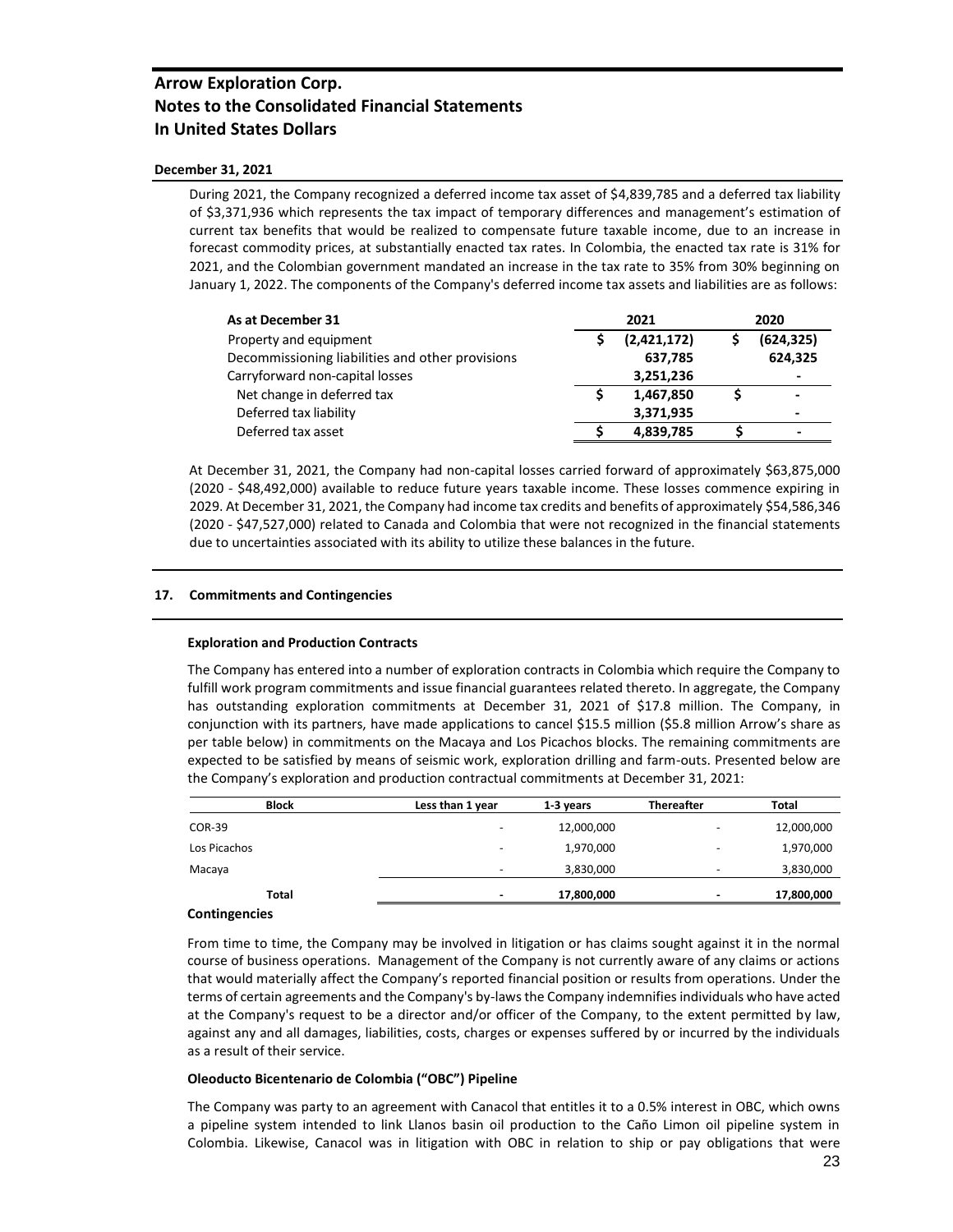### **December 31, 2021**

 During 2021, the Company recognized a deferred income tax asset of \$4,839,785 and a deferred tax liability of \$3,371,936 which represents the tax impact of temporary differences and management's estimation of current tax benefits that would be realized to compensate future taxable income, due to an increase in forecast commodity prices, at substantially enacted tax rates. In Colombia, the enacted tax rate is 31% for 2021, and the Colombian government mandated an increase in the tax rate to 35% from 30% beginning on January 1, 2022. The components of the Company's deferred income tax assets and liabilities are as follows:

| As at December 31                                | 2021<br>2020 |  |                          |
|--------------------------------------------------|--------------|--|--------------------------|
| Property and equipment                           | (2,421,172)  |  | (624, 325)               |
| Decommissioning liabilities and other provisions | 637,785      |  | 624,325                  |
| Carryforward non-capital losses                  | 3,251,236    |  | $\overline{\phantom{0}}$ |
| Net change in deferred tax                       | 1,467,850    |  | $\blacksquare$           |
| Deferred tax liability                           | 3,371,935    |  | $\overline{\phantom{0}}$ |
| Deferred tax asset                               | 4,839,785    |  | $\overline{\phantom{0}}$ |

 At December 31, 2021, the Company had non-capital losses carried forward of approximately \$63,875,000 (2020 - \$48,492,000) available to reduce future years taxable income. These losses commence expiring in 2029. At December 31, 2021, the Company had income tax credits and benefits of approximately \$54,586,346 (2020 - \$47,527,000) related to Canada and Colombia that were not recognized in the financial statements due to uncertainties associated with its ability to utilize these balances in the future.

### **17. Commitments and Contingencies**

### **Exploration and Production Contracts**

The Company has entered into a number of exploration contracts in Colombia which require the Company to fulfill work program commitments and issue financial guarantees related thereto. In aggregate, the Company has outstanding exploration commitments at December 31, 2021 of \$17.8 million. The Company, in conjunction with its partners, have made applications to cancel \$15.5 million (\$5.8 million Arrow's share as per table below) in commitments on the Macaya and Los Picachos blocks. The remaining commitments are expected to be satisfied by means of seismic work, exploration drilling and farm-outs. Presented below are the Company's exploration and production contractual commitments at December 31, 2021:

| <b>Block</b>  | Less than 1 year         | 1-3 years  | <b>Thereafter</b>        | <b>Total</b> |
|---------------|--------------------------|------------|--------------------------|--------------|
| <b>COR-39</b> | -                        | 12,000,000 | ۰                        | 12,000,000   |
| Los Picachos  | ۰                        | 1,970,000  | -                        | 1,970,000    |
| Macaya        | $\overline{\phantom{0}}$ | 3,830,000  | $\overline{\phantom{a}}$ | 3,830,000    |
| <b>Total</b>  | $\overline{\phantom{a}}$ | 17,800,000 | $\overline{\phantom{a}}$ | 17,800,000   |
| .             |                          |            |                          |              |

### **Contingencies**

From time to time, the Company may be involved in litigation or has claims sought against it in the normal course of business operations. Management of the Company is not currently aware of any claims or actions that would materially affect the Company's reported financial position or results from operations. Under the terms of certain agreements and the Company's by-laws the Company indemnifies individuals who have acted at the Company's request to be a director and/or officer of the Company, to the extent permitted by law, against any and all damages, liabilities, costs, charges or expenses suffered by or incurred by the individuals as a result of their service.

### **Oleoducto Bicentenario de Colombia ("OBC") Pipeline**

The Company was party to an agreement with Canacol that entitles it to a 0.5% interest in OBC, which owns a pipeline system intended to link Llanos basin oil production to the Caño Limon oil pipeline system in Colombia. Likewise, Canacol was in litigation with OBC in relation to ship or pay obligations that were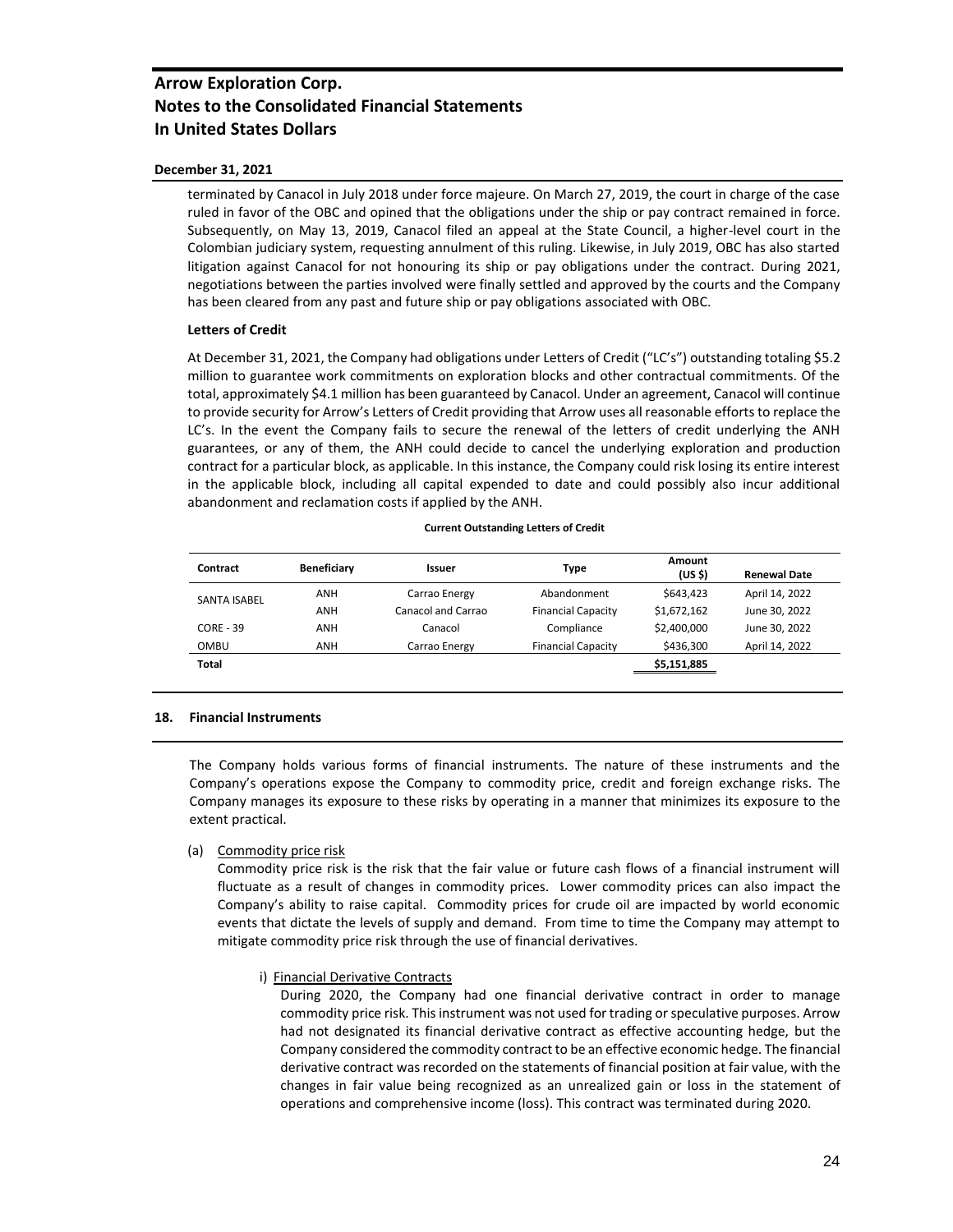### **December 31, 2021**

terminated by Canacol in July 2018 under force majeure. On March 27, 2019, the court in charge of the case ruled in favor of the OBC and opined that the obligations under the ship or pay contract remained in force. Subsequently, on May 13, 2019, Canacol filed an appeal at the State Council, a higher-level court in the Colombian judiciary system, requesting annulment of this ruling. Likewise, in July 2019, OBC has also started litigation against Canacol for not honouring its ship or pay obligations under the contract. During 2021, negotiations between the parties involved were finally settled and approved by the courts and the Company has been cleared from any past and future ship or pay obligations associated with OBC.

### **Letters of Credit**

At December 31, 2021, the Company had obligations under Letters of Credit ("LC's") outstanding totaling \$5.2 million to guarantee work commitments on exploration blocks and other contractual commitments. Of the total, approximately \$4.1 million has been guaranteed by Canacol. Under an agreement, Canacol will continue to provide security for Arrow's Letters of Credit providing that Arrow uses all reasonable efforts to replace the LC's. In the event the Company fails to secure the renewal of the letters of credit underlying the ANH guarantees, or any of them, the ANH could decide to cancel the underlying exploration and production contract for a particular block, as applicable. In this instance, the Company could risk losing its entire interest in the applicable block, including all capital expended to date and could possibly also incur additional abandonment and reclamation costs if applied by the ANH.

### **Current Outstanding Letters of Credit**

| Contract            | <b>Beneficiary</b> | Issuer             | <b>Type</b>               | Amount<br>(US \$) | <b>Renewal Date</b> |
|---------------------|--------------------|--------------------|---------------------------|-------------------|---------------------|
| <b>SANTA ISABEL</b> | ANH                | Carrao Energy      | Abandonment               | \$643.423         | April 14, 2022      |
|                     | ANH                | Canacol and Carrao | <b>Financial Capacity</b> | \$1,672,162       | June 30, 2022       |
| $CORE - 39$         | ANH                | Canacol            | Compliance                | \$2,400,000       | June 30, 2022       |
| OMBU                | ANH                | Carrao Energy      | <b>Financial Capacity</b> | \$436,300         | April 14, 2022      |
| <b>Total</b>        |                    |                    |                           | \$5,151,885       |                     |

### **18. Financial Instruments**

The Company holds various forms of financial instruments. The nature of these instruments and the Company's operations expose the Company to commodity price, credit and foreign exchange risks. The Company manages its exposure to these risks by operating in a manner that minimizes its exposure to the extent practical.

(a) Commodity price risk

Commodity price risk is the risk that the fair value or future cash flows of a financial instrument will fluctuate as a result of changes in commodity prices. Lower commodity prices can also impact the Company's ability to raise capital. Commodity prices for crude oil are impacted by world economic events that dictate the levels of supply and demand. From time to time the Company may attempt to mitigate commodity price risk through the use of financial derivatives.

i) Financial Derivative Contracts

During 2020, the Company had one financial derivative contract in order to manage commodity price risk. This instrument was not used for trading or speculative purposes. Arrow had not designated its financial derivative contract as effective accounting hedge, but the Company considered the commodity contract to be an effective economic hedge. The financial derivative contract was recorded on the statements of financial position at fair value, with the changes in fair value being recognized as an unrealized gain or loss in the statement of operations and comprehensive income (loss). This contract was terminated during 2020.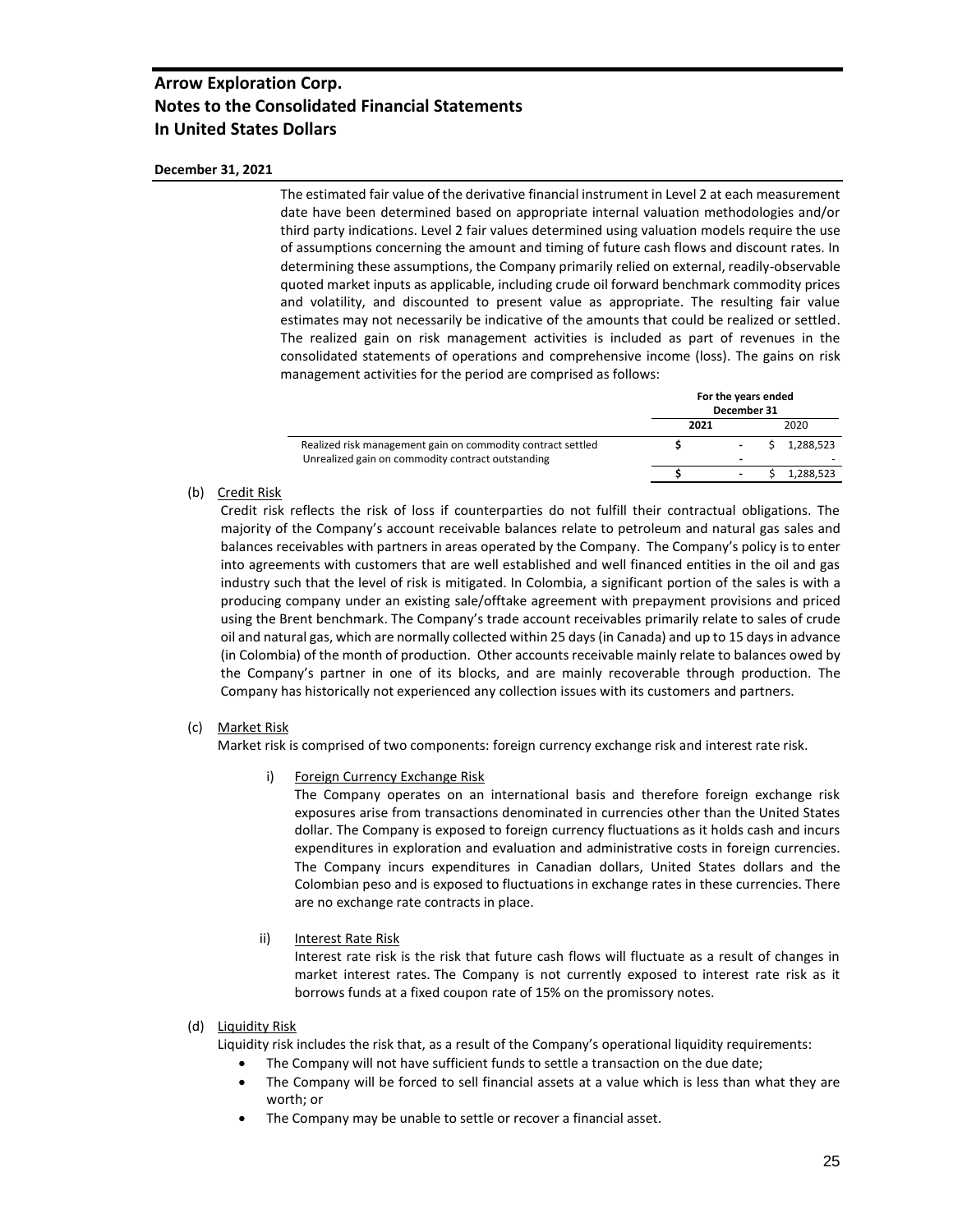### **December 31, 2021**

The estimated fair value of the derivative financial instrument in Level 2 at each measurement date have been determined based on appropriate internal valuation methodologies and/or third party indications. Level 2 fair values determined using valuation models require the use of assumptions concerning the amount and timing of future cash flows and discount rates. In determining these assumptions, the Company primarily relied on external, readily-observable quoted market inputs as applicable, including crude oil forward benchmark commodity prices and volatility, and discounted to present value as appropriate. The resulting fair value estimates may not necessarily be indicative of the amounts that could be realized or settled. The realized gain on risk management activities is included as part of revenues in the consolidated statements of operations and comprehensive income (loss). The gains on risk management activities for the period are comprised as follows:

|                                                             |      | For the years ended<br>December 31 |           |
|-------------------------------------------------------------|------|------------------------------------|-----------|
|                                                             | 2021 |                                    | 2020      |
| Realized risk management gain on commodity contract settled |      |                                    | 1,288,523 |
| Unrealized gain on commodity contract outstanding           |      |                                    |           |
|                                                             |      | ۰                                  | 1,288,523 |

(b) Credit Risk

Credit risk reflects the risk of loss if counterparties do not fulfill their contractual obligations. The majority of the Company's account receivable balances relate to petroleum and natural gas sales and balances receivables with partners in areas operated by the Company. The Company's policy is to enter into agreements with customers that are well established and well financed entities in the oil and gas industry such that the level of risk is mitigated. In Colombia, a significant portion of the sales is with a producing company under an existing sale/offtake agreement with prepayment provisions and priced using the Brent benchmark. The Company's trade account receivables primarily relate to sales of crude oil and natural gas, which are normally collected within 25 days (in Canada) and up to 15 days in advance (in Colombia) of the month of production. Other accounts receivable mainly relate to balances owed by the Company's partner in one of its blocks, and are mainly recoverable through production. The Company has historically not experienced any collection issues with its customers and partners.

### (c) Market Risk

Market risk is comprised of two components: foreign currency exchange risk and interest rate risk.

i) Foreign Currency Exchange Risk

The Company operates on an international basis and therefore foreign exchange risk exposures arise from transactions denominated in currencies other than the United States dollar. The Company is exposed to foreign currency fluctuations as it holds cash and incurs expenditures in exploration and evaluation and administrative costs in foreign currencies. The Company incurs expenditures in Canadian dollars, United States dollars and the Colombian peso and is exposed to fluctuations in exchange rates in these currencies. There are no exchange rate contracts in place.

### ii) Interest Rate Risk

Interest rate risk is the risk that future cash flows will fluctuate as a result of changes in market interest rates. The Company is not currently exposed to interest rate risk as it borrows funds at a fixed coupon rate of 15% on the promissory notes.

### (d) Liquidity Risk

Liquidity risk includes the risk that, as a result of the Company's operational liquidity requirements:

- The Company will not have sufficient funds to settle a transaction on the due date;
- The Company will be forced to sell financial assets at a value which is less than what they are worth; or
- The Company may be unable to settle or recover a financial asset.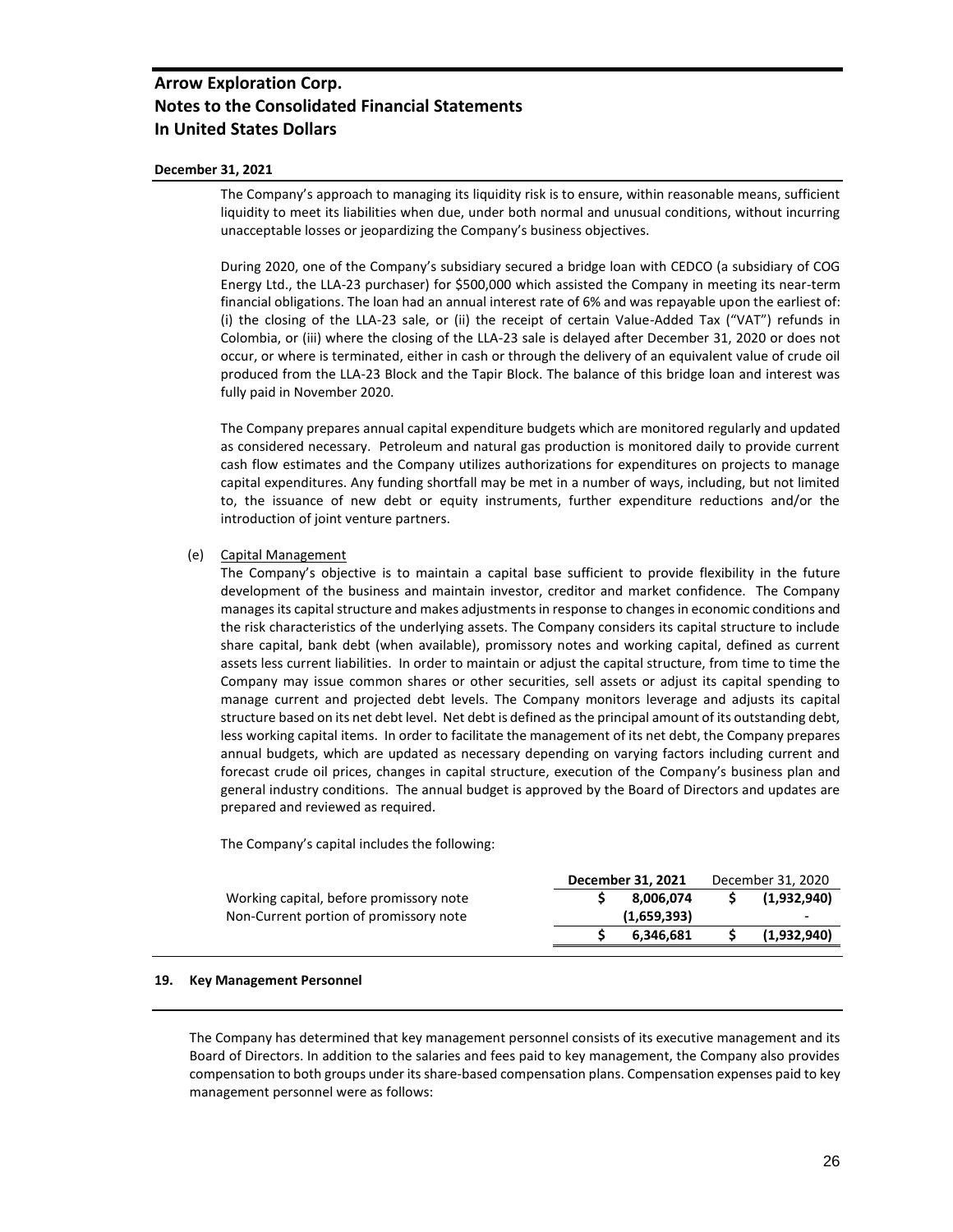### **December 31, 2021**

The Company's approach to managing its liquidity risk is to ensure, within reasonable means, sufficient liquidity to meet its liabilities when due, under both normal and unusual conditions, without incurring unacceptable losses or jeopardizing the Company's business objectives.

During 2020, one of the Company's subsidiary secured a bridge loan with CEDCO (a subsidiary of COG Energy Ltd., the LLA-23 purchaser) for \$500,000 which assisted the Company in meeting its near-term financial obligations. The loan had an annual interest rate of 6% and was repayable upon the earliest of: (i) the closing of the LLA-23 sale, or (ii) the receipt of certain Value-Added Tax ("VAT") refunds in Colombia, or (iii) where the closing of the LLA-23 sale is delayed after December 31, 2020 or does not occur, or where is terminated, either in cash or through the delivery of an equivalent value of crude oil produced from the LLA-23 Block and the Tapir Block. The balance of this bridge loan and interest was fully paid in November 2020.

The Company prepares annual capital expenditure budgets which are monitored regularly and updated as considered necessary. Petroleum and natural gas production is monitored daily to provide current cash flow estimates and the Company utilizes authorizations for expenditures on projects to manage capital expenditures. Any funding shortfall may be met in a number of ways, including, but not limited to, the issuance of new debt or equity instruments, further expenditure reductions and/or the introduction of joint venture partners.

### (e) Capital Management

The Company's objective is to maintain a capital base sufficient to provide flexibility in the future development of the business and maintain investor, creditor and market confidence. The Company manages its capital structure and makes adjustments in response to changes in economic conditions and the risk characteristics of the underlying assets. The Company considers its capital structure to include share capital, bank debt (when available), promissory notes and working capital, defined as current assets less current liabilities. In order to maintain or adjust the capital structure, from time to time the Company may issue common shares or other securities, sell assets or adjust its capital spending to manage current and projected debt levels. The Company monitors leverage and adjusts its capital structure based on its net debt level. Net debt is defined as the principal amount of its outstanding debt, less working capital items. In order to facilitate the management of its net debt, the Company prepares annual budgets, which are updated as necessary depending on varying factors including current and forecast crude oil prices, changes in capital structure, execution of the Company's business plan and general industry conditions. The annual budget is approved by the Board of Directors and updates are prepared and reviewed as required.

The Company's capital includes the following:

|                                         | December 31, 2021 | December 31, 2020 |                          |  |
|-----------------------------------------|-------------------|-------------------|--------------------------|--|
| Working capital, before promissory note | 8.006.074         |                   | (1,932,940)              |  |
| Non-Current portion of promissory note  | (1,659,393)       |                   | $\overline{\phantom{0}}$ |  |
|                                         | 6.346.681         |                   | (1,932,940)              |  |
|                                         |                   |                   |                          |  |

### **19. Key Management Personnel**

The Company has determined that key management personnel consists of its executive management and its Board of Directors. In addition to the salaries and fees paid to key management, the Company also provides compensation to both groups under its share-based compensation plans. Compensation expenses paid to key management personnel were as follows: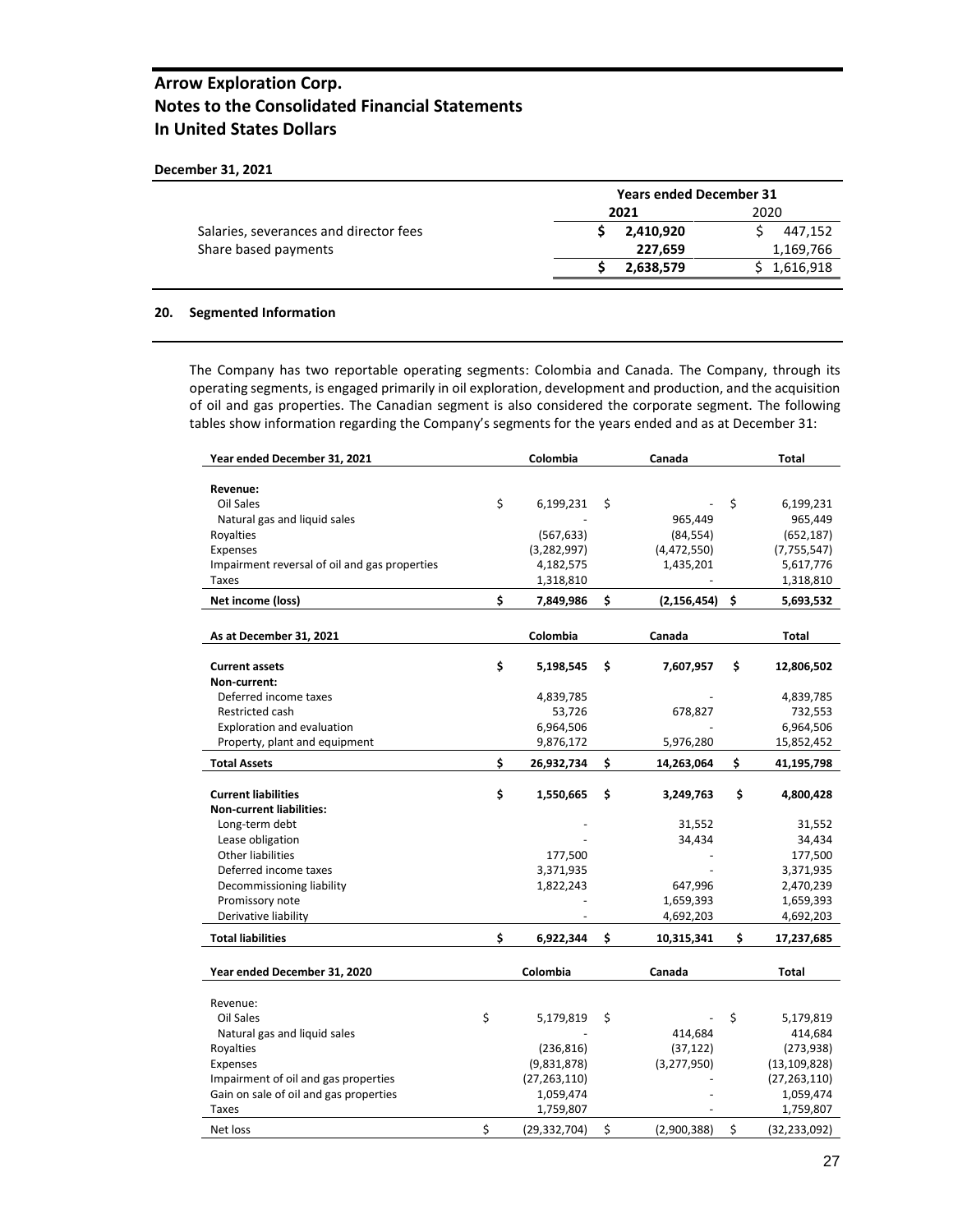### **December 31, 2021**

|                                        | <b>Years ended December 31</b> |           |  |  |  |
|----------------------------------------|--------------------------------|-----------|--|--|--|
|                                        | 2021                           | 2020      |  |  |  |
| Salaries, severances and director fees | 2,410,920                      | 447,152   |  |  |  |
| Share based payments                   | 227.659                        | 1,169,766 |  |  |  |
|                                        | 2,638,579                      | 1,616,918 |  |  |  |
|                                        |                                |           |  |  |  |

### **20. Segmented Information**

The Company has two reportable operating segments: Colombia and Canada. The Company, through its operating segments, is engaged primarily in oil exploration, development and production, and the acquisition of oil and gas properties. The Canadian segment is also considered the corporate segment. The following tables show information regarding the Company's segments for the years ended and as at December 31:

| Year ended December 31, 2021                  |    | Colombia       | Canada              | <b>Total</b>         |
|-----------------------------------------------|----|----------------|---------------------|----------------------|
|                                               |    |                |                     |                      |
| Revenue:<br>Oil Sales                         | \$ | 6,199,231      | \$                  | \$<br>6,199,231      |
| Natural gas and liquid sales                  |    |                | 965,449             | 965,449              |
| Royalties                                     |    | (567, 633)     | (84, 554)           | (652, 187)           |
| Expenses                                      |    | (3, 282, 997)  | (4,472,550)         | (7, 755, 547)        |
| Impairment reversal of oil and gas properties |    | 4,182,575      | 1,435,201           | 5,617,776            |
| <b>Taxes</b>                                  |    | 1,318,810      |                     | 1,318,810            |
| Net income (loss)                             | \$ | 7,849,986      | \$<br>(2, 156, 454) | \$<br>5,693,532      |
|                                               |    |                |                     |                      |
| As at December 31, 2021                       |    | Colombia       | Canada              | Total                |
| <b>Current assets</b>                         | \$ | 5,198,545      | \$<br>7,607,957     | \$<br>12,806,502     |
| Non-current:                                  |    |                |                     |                      |
| Deferred income taxes                         |    | 4,839,785      |                     | 4,839,785            |
| Restricted cash                               |    | 53,726         | 678,827             | 732,553              |
| Exploration and evaluation                    |    | 6,964,506      |                     | 6,964,506            |
| Property, plant and equipment                 |    | 9,876,172      | 5,976,280           | 15,852,452           |
| <b>Total Assets</b>                           | Ś  | 26,932,734     | \$<br>14,263,064    | \$<br>41,195,798     |
|                                               |    |                |                     |                      |
| <b>Current liabilities</b>                    | \$ | 1,550,665      | \$<br>3,249,763     | \$<br>4,800,428      |
| <b>Non-current liabilities:</b>               |    |                |                     |                      |
| Long-term debt                                |    |                | 31,552              | 31,552               |
| Lease obligation                              |    |                | 34,434              | 34,434               |
| <b>Other liabilities</b>                      |    | 177,500        |                     | 177,500              |
| Deferred income taxes                         |    | 3,371,935      |                     | 3,371,935            |
| Decommissioning liability                     |    | 1,822,243      | 647,996             | 2,470,239            |
| Promissory note                               |    |                | 1,659,393           | 1,659,393            |
| Derivative liability                          |    |                | 4,692,203           | 4,692,203            |
| <b>Total liabilities</b>                      | \$ | 6,922,344      | \$<br>10,315,341    | \$<br>17,237,685     |
| Year ended December 31, 2020                  |    | Colombia       | Canada              | <b>Total</b>         |
|                                               |    |                |                     |                      |
| Revenue:                                      |    |                |                     |                      |
| Oil Sales                                     | \$ | 5,179,819      | \$                  | \$<br>5,179,819      |
| Natural gas and liquid sales                  |    |                | 414,684             | 414,684              |
| Royalties                                     |    | (236, 816)     | (37, 122)           | (273, 938)           |
| Expenses                                      |    | (9,831,878)    | (3,277,950)         | (13, 109, 828)       |
| Impairment of oil and gas properties          |    | (27, 263, 110) |                     | (27, 263, 110)       |
| Gain on sale of oil and gas properties        |    | 1,059,474      |                     | 1,059,474            |
| <b>Taxes</b>                                  |    | 1,759,807      |                     | 1,759,807            |
| Net loss                                      | \$ | (29, 332, 704) | \$<br>(2,900,388)   | \$<br>(32, 233, 092) |
|                                               |    |                |                     |                      |